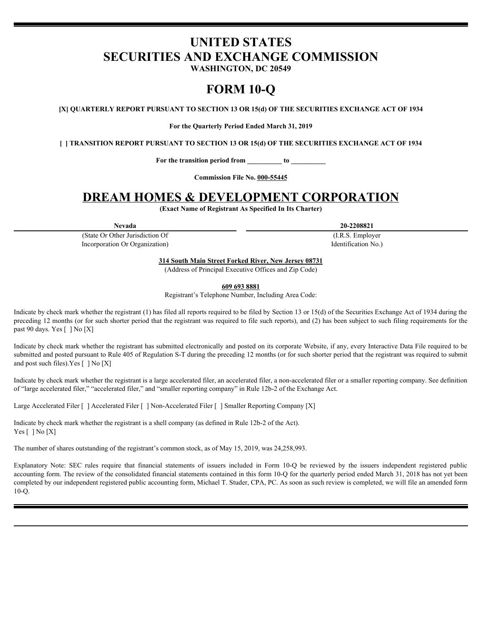# **UNITED STATES SECURITIES AND EXCHANGE COMMISSION**

**WASHINGTON, DC 20549**

# **FORM 10-Q**

**[X] QUARTERLY REPORT PURSUANT TO SECTION 13 OR 15(d) OF THE SECURITIES EXCHANGE ACT OF 1934**

**For the Quarterly Period Ended March 31, 2019**

**[ ] TRANSITION REPORT PURSUANT TO SECTION 13 OR 15(d) OF THE SECURITIES EXCHANGE ACT OF 1934**

**For the transition period from \_\_\_\_\_\_\_\_\_\_ to \_\_\_\_\_\_\_\_\_\_**

**Commission File No. 000-55445**

# **DREAM HOMES & DEVELOPMENT CORPORATION**

**(Exact Name of Registrant As Specified In Its Charter)**

(State Or Other Jurisdiction Of Incorporation Or Organization)

**Nevada 20-2208821**

(I.R.S. Employer Identification No.)

**314 South Main Street Forked River, New Jersey 08731**

(Address of Principal Executive Offices and Zip Code)

**609 693 8881**

Registrant's Telephone Number, Including Area Code:

Indicate by check mark whether the registrant (1) has filed all reports required to be filed by Section 13 or 15(d) of the Securities Exchange Act of 1934 during the preceding 12 months (or for such shorter period that the registrant was required to file such reports), and (2) has been subject to such filing requirements for the past 90 days. Yes [ ] No [X]

Indicate by check mark whether the registrant has submitted electronically and posted on its corporate Website, if any, every Interactive Data File required to be submitted and posted pursuant to Rule 405 of Regulation S-T during the preceding 12 months (or for such shorter period that the registrant was required to submit and post such files).Yes [ ] No [X]

Indicate by check mark whether the registrant is a large accelerated filer, an accelerated filer, a non-accelerated filer or a smaller reporting company. See definition of "large accelerated filer," "accelerated filer," and "smaller reporting company" in Rule 12b-2 of the Exchange Act.

Large Accelerated Filer [ ] Accelerated Filer [ ] Non-Accelerated Filer [ ] Smaller Reporting Company [X]

Indicate by check mark whether the registrant is a shell company (as defined in Rule 12b-2 of the Act).  $Yes [ ] No [X]$ 

The number of shares outstanding of the registrant's common stock, as of May 15, 2019, was 24,258,993.

**Exact Norals** (**Exact Norals** of Registrant As Specified In 16s Charter) (R.S. Frephone: <br>
State Or Ories Jumidiation)<br>
An Assignment of Ories and Assistant Marin Street Merkett River, Newton BO21<br>
(Address of Principal accounting form. The review of the consolidated financial statements contained in this form 10-Q for the quarterly period ended March 31, 2018 has not yet been completed by our independent registered public accounting form, Michael T. Studer, CPA, PC. As soon as such review is completed, we will file an amended form 10-Q.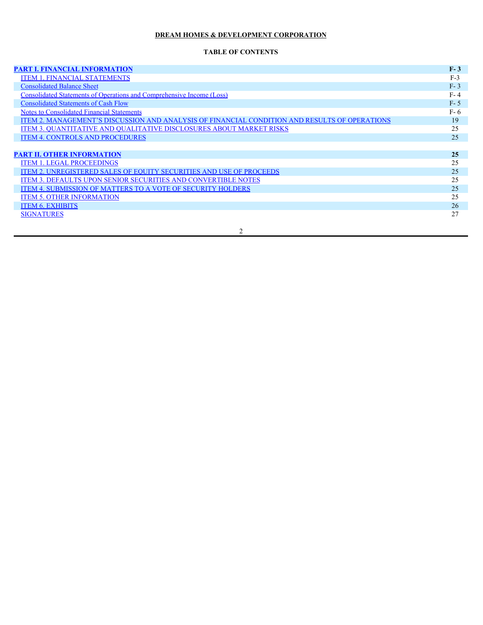# **DREAM HOMES & DEVELOPMENT CORPORATION**

# **TABLE OF CONTENTS**

# **[PART I. FINANCIAL INFORMATION](#page-2-0) F- 3**

| <b>ITEM 1. FINANCIAL STATEMENTS</b>                                                           | $F-3$   |
|-----------------------------------------------------------------------------------------------|---------|
| <b>Consolidated Balance Sheet</b>                                                             | $F-3$   |
| <b>Consolidated Statements of Operations and Comprehensive Income (Loss)</b>                  | $F - 4$ |
| <b>Consolidated Statements of Cash Flow</b>                                                   | $F - 5$ |
| <b>Notes to Consolidated Financial Statements</b>                                             | $F-6$   |
| ITEM 2. MANAGEMENT'S DISCUSSION AND ANALYSIS OF FINANCIAL CONDITION AND RESULTS OF OPERATIONS | 19      |
| ITEM 3. QUANTITATIVE AND QUALITATIVE DISCLOSURES ABOUT MARKET RISKS                           | 25      |
| <b>ITEM 4. CONTROLS AND PROCEDURES</b>                                                        | 25      |
|                                                                                               |         |
| <b>PART II. OTHER INFORMATION</b>                                                             | 25      |
| <b>ITEM 1. LEGAL PROCEEDINGS</b>                                                              | 25      |
| ITEM 2. UNREGISTERED SALES OF EQUITY SECURITIES AND USE OF PROCEEDS                           | 25      |
| ITEM 3. DEFAULTS UPON SENIOR SECURITIES AND CONVERTIBLE NOTES                                 | 25      |
| ITEM 4. SUBMISSION OF MATTERS TO A VOTE OF SECURITY HOLDERS                                   | 25      |
| <b>ITEM 5. OTHER INFORMATION</b>                                                              | 25      |
| <b>ITEM 6. EXHIBITS</b>                                                                       | 26      |
| <b>SIGNATURES</b>                                                                             | 27      |
|                                                                                               |         |
|                                                                                               |         |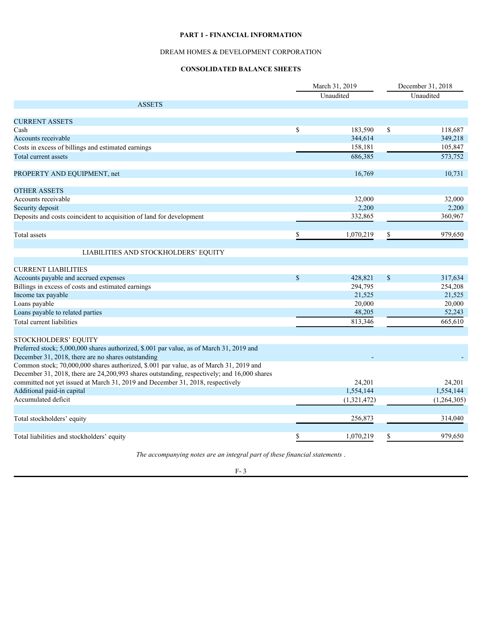# **PART 1 - FINANCIAL INFORMATION**

# DREAM HOMES & DEVELOPMENT CORPORATION

# **CONSOLIDATED BALANCE SHEETS**

<span id="page-2-1"></span><span id="page-2-0"></span>

|                                                                                               | March 31, 2019<br>Unaudited |             | December 31, 2018<br>Unaudited |             |
|-----------------------------------------------------------------------------------------------|-----------------------------|-------------|--------------------------------|-------------|
| <b>ASSETS</b>                                                                                 |                             |             |                                |             |
| <b>CURRENT ASSETS</b>                                                                         |                             |             |                                |             |
| Cash                                                                                          | \$                          | 183,590     | $\mathbb{S}$                   | 118,687     |
| Accounts receivable                                                                           |                             | 344,614     |                                | 349,218     |
| Costs in excess of billings and estimated earnings                                            |                             | 158,181     |                                | 105,847     |
| Total current assets                                                                          |                             | 686,385     |                                | 573,752     |
|                                                                                               |                             |             |                                |             |
| PROPERTY AND EQUIPMENT, net                                                                   |                             | 16,769      |                                | 10,731      |
| <b>OTHER ASSETS</b>                                                                           |                             |             |                                |             |
| Accounts receivable                                                                           |                             | 32,000      |                                | 32,000      |
| Security deposit                                                                              |                             | 2,200       |                                | 2,200       |
| Deposits and costs coincident to acquisition of land for development                          |                             | 332,865     |                                | 360,967     |
|                                                                                               |                             |             |                                |             |
| Total assets                                                                                  |                             | 1,070,219   |                                | 979,650     |
|                                                                                               |                             |             |                                |             |
| LIABILITIES AND STOCKHOLDERS' EQUITY                                                          |                             |             |                                |             |
| <b>CURRENT LIABILITIES</b>                                                                    |                             |             |                                |             |
| Accounts payable and accrued expenses                                                         | $\mathbb{S}$                | 428,821     | $\mathbb{S}$                   | 317,634     |
| Billings in excess of costs and estimated earnings                                            |                             | 294,795     |                                | 254,208     |
| Income tax payable                                                                            |                             | 21,525      |                                | 21,525      |
| Loans payable                                                                                 |                             | 20,000      |                                | 20,000      |
| Loans payable to related parties                                                              |                             | 48,205      |                                | 52,243      |
| Total current liabilities                                                                     |                             | 813,346     |                                | 665,610     |
|                                                                                               |                             |             |                                |             |
| STOCKHOLDERS' EQUITY                                                                          |                             |             |                                |             |
| Preferred stock; 5,000,000 shares authorized, \$.001 par value, as of March 31, 2019 and      |                             |             |                                |             |
| December 31, 2018, there are no shares outstanding                                            |                             |             |                                |             |
| Common stock; 70,000,000 shares authorized, \$.001 par value, as of March 31, 2019 and        |                             |             |                                |             |
| December 31, 2018, there are 24, 200, 993 shares outstanding, respectively; and 16,000 shares |                             |             |                                |             |
| committed not yet issued at March 31, 2019 and December 31, 2018, respectively                |                             | 24,201      |                                | 24,201      |
| Additional paid-in capital                                                                    |                             | 1,554,144   |                                | 1,554,144   |
| Accumulated deficit                                                                           |                             | (1,321,472) |                                | (1,264,305) |
|                                                                                               |                             |             |                                |             |
| Total stockholders' equity                                                                    |                             | 256,873     |                                | 314,040     |
|                                                                                               |                             | 1,070,219   |                                | 979,650     |
| Total liabilities and stockholders' equity                                                    |                             |             |                                |             |

*The accompanying notes are an integral part of these financial statements* .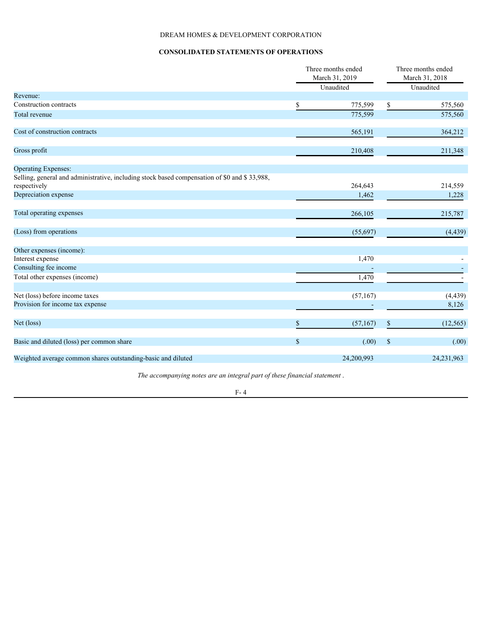# DREAM HOMES & DEVELOPMENT CORPORATION

# **CONSOLIDATED STATEMENTS OF OPERATIONS**

<span id="page-3-0"></span>

|                                                                                              |              | Three months ended<br>March 31, 2019<br>Unaudited |               | Three months ended<br>March 31, 2018 |
|----------------------------------------------------------------------------------------------|--------------|---------------------------------------------------|---------------|--------------------------------------|
|                                                                                              |              |                                                   |               | Unaudited                            |
| Revenue:                                                                                     |              |                                                   |               |                                      |
| Construction contracts                                                                       |              | 775,599                                           | <sup>\$</sup> | 575,560                              |
| Total revenue                                                                                |              | 775,599                                           |               | 575,560                              |
| Cost of construction contracts                                                               |              | 565,191                                           |               | 364,212                              |
| Gross profit                                                                                 |              | 210,408                                           |               | 211,348                              |
| <b>Operating Expenses:</b>                                                                   |              |                                                   |               |                                      |
| Selling, general and administrative, including stock based compensation of \$0 and \$33,988, |              |                                                   |               |                                      |
| respectively                                                                                 |              | 264,643                                           |               | 214,559                              |
| Depreciation expense                                                                         |              | 1,462                                             |               | 1,228                                |
| Total operating expenses                                                                     |              | 266,105                                           |               | 215,787                              |
| (Loss) from operations                                                                       |              | (55,697)                                          |               | (4, 439)                             |
| Other expenses (income):                                                                     |              |                                                   |               |                                      |
| Interest expense                                                                             |              | 1,470                                             |               |                                      |
| Consulting fee income                                                                        |              |                                                   |               |                                      |
| Total other expenses (income)                                                                |              | 1,470                                             |               |                                      |
| Net (loss) before income taxes                                                               |              | (57, 167)                                         |               | (4, 439)                             |
| Provision for income tax expense                                                             |              |                                                   |               | 8,126                                |
| Net (loss)                                                                                   |              | (57,167)                                          |               | (12, 565)                            |
| Basic and diluted (loss) per common share                                                    | $\mathbb{S}$ | (.00)                                             | $\mathbb{S}$  | (.00)                                |
| Weighted average common shares outstanding-basic and diluted                                 |              | 24,200,993                                        |               | 24, 231, 963                         |
|                                                                                              |              |                                                   |               |                                      |

*The accompanying notes are an integral part of these financial statement* .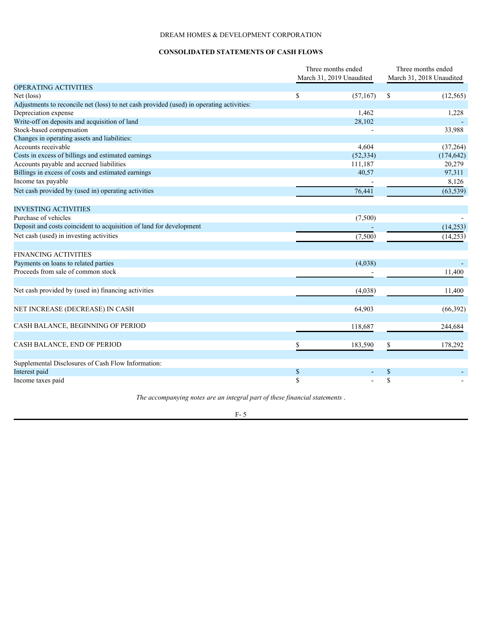# DREAM HOMES & DEVELOPMENT CORPORATION

# **CONSOLIDATED STATEMENTS OF CASH FLOWS**

<span id="page-4-0"></span>

|                                                                                          |              | Three months ended<br>March 31, 2019 Unaudited | Three months ended<br>March 31, 2018 Unaudited |            |  |
|------------------------------------------------------------------------------------------|--------------|------------------------------------------------|------------------------------------------------|------------|--|
| <b>OPERATING ACTIVITIES</b>                                                              |              |                                                |                                                |            |  |
| Net (loss)                                                                               | \$           | (57, 167)                                      | <sup>\$</sup>                                  | (12, 565)  |  |
| Adjustments to reconcile net (loss) to net cash provided (used) in operating activities: |              |                                                |                                                |            |  |
| Depreciation expense                                                                     |              | 1,462                                          |                                                | 1,228      |  |
| Write-off on deposits and acquisition of land                                            |              | 28,102                                         |                                                |            |  |
| Stock-based compensation                                                                 |              |                                                |                                                | 33,988     |  |
| Changes in operating assets and liabilities:                                             |              |                                                |                                                |            |  |
| Accounts receivable                                                                      |              | 4,604                                          |                                                | (37, 264)  |  |
| Costs in excess of billings and estimated earnings                                       |              | (52, 334)                                      |                                                | (174, 642) |  |
| Accounts payable and accrued liabilities                                                 |              | 111,187                                        |                                                | 20,279     |  |
| Billings in excess of costs and estimated earnings                                       |              | 40,57                                          |                                                | 97,311     |  |
| Income tax payable                                                                       |              |                                                |                                                | 8,126      |  |
| Net cash provided by (used in) operating activities                                      |              | 76,441                                         |                                                | (63, 539)  |  |
| <b>INVESTING ACTIVITIES</b>                                                              |              |                                                |                                                |            |  |
| Purchase of vehicles                                                                     |              | (7,500)                                        |                                                |            |  |
| Deposit and costs coincident to acquisition of land for development                      |              |                                                |                                                | (14, 253)  |  |
| Net cash (used) in investing activities                                                  |              | (7,500)                                        |                                                | (14,253)   |  |
|                                                                                          |              |                                                |                                                |            |  |
| <b>FINANCING ACTIVITIES</b>                                                              |              |                                                |                                                |            |  |
| Payments on loans to related parties                                                     |              | (4,038)                                        |                                                |            |  |
| Proceeds from sale of common stock                                                       |              |                                                |                                                | 11,400     |  |
|                                                                                          |              |                                                |                                                |            |  |
| Net cash provided by (used in) financing activities                                      |              | (4,038)                                        |                                                | 11,400     |  |
|                                                                                          |              |                                                |                                                |            |  |
| NET INCREASE (DECREASE) IN CASH                                                          |              | 64,903                                         |                                                | (66, 392)  |  |
| CASH BALANCE, BEGINNING OF PERIOD                                                        |              | 118,687                                        |                                                | 244,684    |  |
|                                                                                          |              |                                                |                                                |            |  |
| CASH BALANCE, END OF PERIOD                                                              |              | 183,590                                        |                                                | 178,292    |  |
| Supplemental Disclosures of Cash Flow Information:                                       |              |                                                |                                                |            |  |
| Interest paid                                                                            | $\mathbb{S}$ |                                                | S                                              |            |  |
| Income taxes paid                                                                        | \$           | $\overline{\phantom{0}}$                       | <sup>\$</sup>                                  |            |  |
|                                                                                          |              |                                                |                                                |            |  |

*The accompanying notes are an integral part of these financial statements* .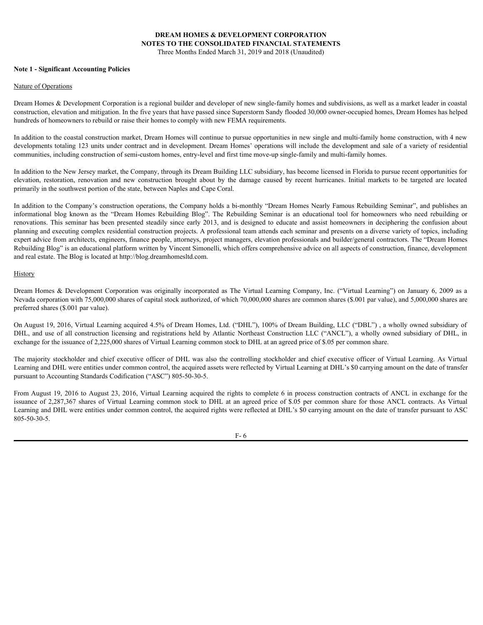# **DREAM HOMES & DEVELOPMENT CORPORATION NOTES TO THE CONSOLIDATED FINANCIAL STATEMENTS** Three Months Ended March 31, 2019 and 2018 (Unaudited)

# <span id="page-5-0"></span>**Note 1 - Significant Accounting Policies**

# Nature of Operations

Dream Homes & Development Corporation is a regional builder and developer of new single-family homes and subdivisions, as well as a market leader in coastal construction, elevation and mitigation. In the five years that have passed since Superstorm Sandy flooded 30,000 owner-occupied homes, Dream Homes has helped hundreds of homeowners to rebuild or raise their homes to comply with new FEMA requirements.

In addition to the coastal construction market, Dream Homes will continue to pursue opportunities in new single and multi-family home construction, with 4 new developments totaling 123 units under contract and in development. Dream Homes' operations will include the development and sale of a variety of residential communities, including construction of semi-custom homes, entry-level and first time move-up single-family and multi-family homes.

In addition to the New Jersey market, the Company, through its Dream Building LLC subsidiary, has become licensed in Florida to pursue recent opportunities for primarily in the southwest portion of the state, between Naples and Cape Coral.

**EXAM HOMES & DEVELOPMENT CORPORATION**<br> **Note 1 - Significant Accounting Policies**<br> **Note 1 - Significant Accounting Policies**<br> **Note 2** heat Sonahs landed March 31, 2019 and 2018 (Unanother)<br> **Dream Homes & Development C** In addition to the Company's construction operations, the Company holds a bi-monthly "Dream Homes Nearly Famous Rebuilding Seminar", and publishes an **IDREAM HOMES & DEVELOPMENT CORPORATION**<br> **Note 1 - Significant Accounting Policies**<br> **Note:** of Operations<br> **Dream Homes & Development Corporation is a regional builder and developer of new single-family homes and subdivi EXAM HOMES & DEVELOPMENT CORFORATION**<br>
Three Nonths Ended March 21, 2019 and 2018 Unadelized States and Securities From the Signe 2018 (Unadelized States of Development Coporations<br>
Nature of Operations<br>
Nature of Develop planning and executing complex residential construction projects. A professional team attends each seminar and presents on a diverse variety of topics, including expert advice from architects, engineers, finance people, attorneys, project managers, elevation professionals and builder/general contractors. The "Dream Homes Rebuilding Blog" is an educational platform written by Vincent Simonelli, which offers comprehensive advice on all aspects of construction, finance, development and real estate. The Blog is located at http://blog.dreamhomesltd.com. **DREAM HOMES A DEVELOPMENT CORPORATION CORPORATION**<br> **DREAM HOMES A CORPORATION CORPORATION**<br> **NAME - Significant Accounting Pulicies**<br> **DREAM HOMES THE CONSOLIDATED FINANCELL STATEMENTS**<br> **NAME AND CONSULTING THE CONSULTI** Numr at Operators<br>
Divant House & Development Corporation is a regional builder and developer of are window induced and reductions and subsidiary. Some and the constructions of events of events of events of the constructi The matter of Decelaration is a report of the stockholder and decelare of new with chief matter is controlling to the observation, the stockholder of the stockholder of the stockholder of the stockholder of the stockholde decolvenets, tushing 13.2 units under our main and development them investigates our live-de he development and subject to the common streage of the development and subject to the started the common stock as a started to C

# History

Nevada corporation with 75,000,000 shares of capital stock authorized, of which 70,000,000 shares are common shares (\$.001 par value), and 5,000,000 shares are preferred shares (\$.001 par value).

On August 19, 2016, Virtual Learning acquired 4.5% of Dream Homes, Ltd. ("DHL"), 100% of Dream Building, LLC ("DBL") , a wholly owned subsidiary of exchange for the issuance of 2,225,000 shares of Virtual Learning common stock to DHL at an agreed price of \$.05 per common share.

Learning and DHL were entities under common control, the acquired assets were reflected by Virtual Learning at DHL's \$0 carrying amount on the date of transfer pursuant to Accounting Standards Codification ("ASC") 805-50-30-5.

From August 19, 2016 to August 23, 2016, Virtual Learning acquired the rights to complete 6 in process construction contracts of ANCL in exchange for the Learning and DHL were entities under common control, the acquired rights were reflected at DHL's \$0 carrying amount on the date of transfer pursuant to ASC 805-50-30-5.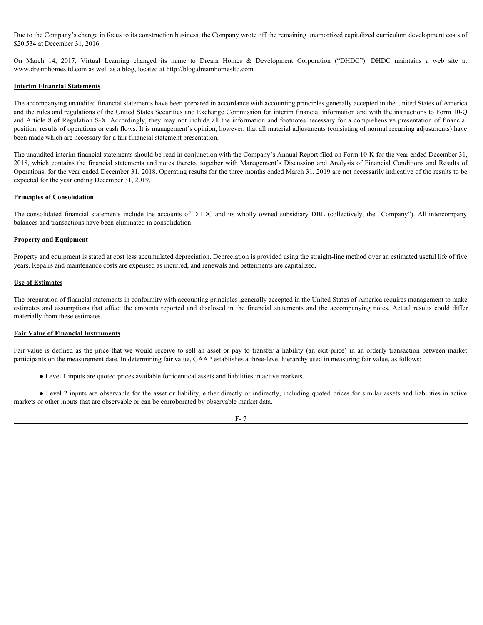Due to the Company's change in focus to its construction business, the Company wrote off the remaining unamortized capitalized curriculum development costs of \$20,534 at December 31, 2016.

www.dreamhomesltd.com as well as a blog, located at http://blog.dreamhomesltd.com.

## **Interim Financial Statements**

Due to the Company's change in focus to its construction business, the Company wrote off the remaining unamortized capitalized curriculum development costs of \$20,534 at December 31, 2016.<br>On March 14, 2017, Virtual Learni The accompanying unaudited financial statements have been prepared in accordance with accounting principles generally accepted in the United States of America and the rules and regulations of the United States Securities and Exchange Commission for interim financial information and with the instructions to Form 10-Q and Article 8 of Regulation S-X. Accordingly, they may not include all the information and footnotes necessary for a comprehensive presentation of financial position, results of operations or cash flows. It is management's opinion, however, that all material adjustments (consisting of normal recurring adjustments) have been made which are necessary for a fair financial statement presentation. Due to the Company's change in focus to its construction business, the Company wrote off the remaining unamortized capitalized curriculum development costs of<br>2018,34 at December 11, 2016.<br>
On March 14, 2017, Virtual Learn Due to the Company's change in focus to its construction louisiess, the Company wrote of the remaining unamortized capitalized curriculum development costs of 0.0.17%, Virtual Learning changed its name to Deam Homes & Deve For the stimate and metachine and consider the stimate of the continents in the content of the content of the content of the content of the content of the content of the content of the content of the content of the content The accompanying unadited function statements have been prepared in accordance with accompting pricely<br>lead the rales and explations of the Unicols Stere Secondition and Echange Commission for initiation farmoutions and w

The unaudited interim financial statements should be read in conjunction with the Company's Annual Report filed on Form 10-K for the year ended December 31, Operations, for the year ended December 31, 2018. Operating results for the three months ended March 31, 2019 are not necessarily indicative of the results to be expected for the year ending December 31, 2019.

## **Principles of Consolidation**

balances and transactions have been eliminated in consolidation.

# **Property and Equipment**

Property and equipment is stated at cost less accumulated depreciation. Depreciation is provided using the straight-line method over an estimated useful life of five years. Repairs and maintenance costs are expensed as incurred, and renewals and betterments are capitalized.

# **Use of Estimates**

The preparation of financial statements in conformity with accounting principles .generally accepted in the United States of America requires management to make materially from these estimates.

# **Fair Value of Financial Instruments**

participants on the measurement date. In determining fair value, GAAP establishes a three-level hierarchy used in measuring fair value, as follows:

● Level 1 inputs are quoted prices available for identical assets and liabilities in active markets.

• Level 2 inputs are observable for the asset or liability, either directly or indirectly, including quoted prices for similar assets and liabilities in active markets or other inputs that are observable or can be corroborated by observable market data.

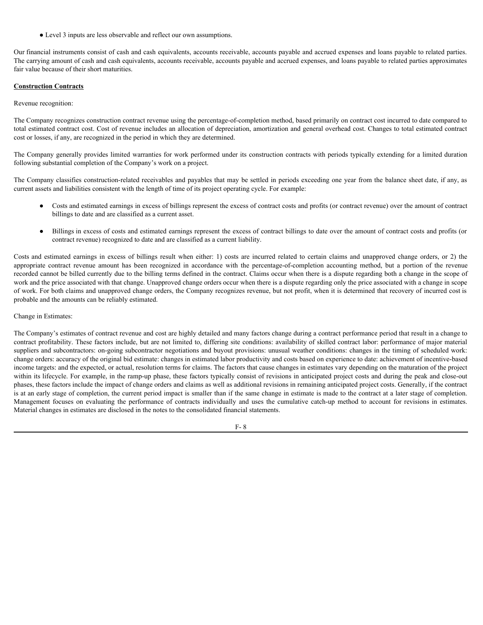● Level 3 inputs are less observable and reflect our own assumptions.

Our financial instruments consist of cash and cash equivalents, accounts receivable, accounts payable and accrued expenses and loans payable to related parties. The carrying amount of cash and cash equivalents, accounts receivable, accounts payable and accrued expenses, and loans payable to related parties approximates fair value because of their short maturities.

# **Construction Contracts**

Revenue recognition:

The Company recognizes construction contract revenue using the percentage-of-completion method, based primarily on contract cost incurred to date compared to total estimated contract cost. Cost of revenue includes an allocation of depreciation, amortization and general overhead cost. Changes to total estimated contract cost or losses, if any, are recognized in the period in which they are determined.

The Company generally provides limited warranties for work performed under its construction contracts with periods typically extending for a limited duration following substantial completion of the Company's work on a project.

The Company classifies construction-related receivables and payables that may be settled in periods exceeding one year from the balance sheet date, if any, as current assets and liabilities consistent with the length of time of its project operating cycle. For example:

- Costs and estimated earnings in excess of billings represent the excess of contract costs and profits (or contract revenue) over the amount of contract billings to date and are classified as a current asset.
- Billings in excess of costs and estimated earnings represent the excess of contract billings to date over the amount of contract costs and profits (or contract revenue) recognized to date and are classified as a current liability.

• Level 3 inputs are less observable and reflect our own assumptions.<br>
Our financial taxtuments consist of each and cash equivalents, accounts receivable, accounts payable and accound expenses and loans payable to relate p ● Level 3 inputs at loss observable and articles or own assumptions.<br>
Our filmshall instrumented worsin of each and each equivalents, accounts percentage-of-completion method, has exceed controls, and loss percentage-of-c recorded cannot be billed currently due to the billing terms defined in the contract. Claims occur when there is a dispute regarding both a change in the scope of work and the price associated with that change. Unapproved change orders occur when there is a dispute regarding only the price associated with a change in scope of work. For both claims and unapproved change orders, the Company recognizes revenue, but not profit, when it is determined that recovery of incurred cost is probable and the amounts can be reliably estimated.

## Change in Estimates:

The Company's estimates of contract revenue and cost are highly detailed and many factors change during a contract performance period that result in a change to contract profitability. These factors include, but are not limited to, differing site conditions: availability of skilled contract labor: performance of major material suppliers and subcontractors: on-going subcontractor negotiations and buyout provisions: unusual weather conditions: changes in the timing of scheduled work: change orders: accuracy of the original bid estimate: changes in estimated labor productivity and costs based on experience to date: achievement of incentive-based income targets: and the expected, or actual, resolution terms for claims. The factors that cause changes in estimates vary depending on the maturation of the project within its lifecycle. For example, in the ramp-up phase, these factors typically consist of revisions in anticipated project costs and during the peak and close-out phases, these factors include the impact of change orders and claims as well as additional revisions in remaining anticipated project costs. Generally, if the contract is at an early stage of completion, the current period impact is smaller than if the same change in estimate is made to the contract at a later stage of completion. The Company generally provides limited woments: for work performed under it contracts contracts controllogical policies on a probable and the performance with periodic projection of the Cated and the cumulation of the con Material changes in estimates are disclosed in the notes to the consolidated financial statements.

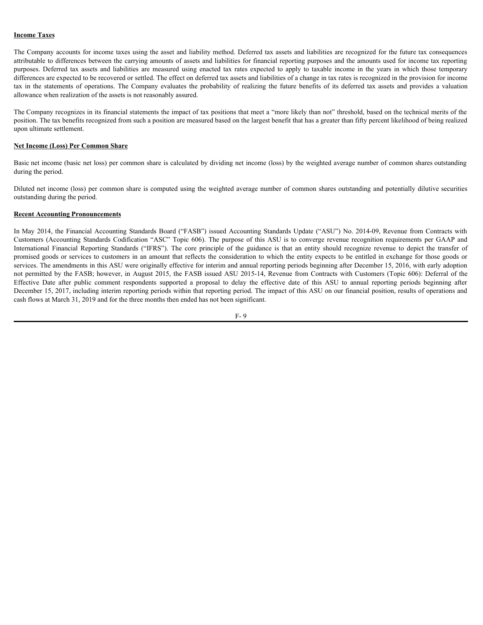# **Income Taxes**

The Company accounts for income taxes using the asset and liability method. Deferred tax assets and liabilities are recognized for the future tax consequences attributable to differences between the carrying amounts of assets and liabilities for financial reporting purposes and the amounts used for income tax reporting **Income Taxes**<br>The Company accounts for income taxes using the asset and liability method. Deferred tax assets and liabilities are recognized for the future tax consequences<br>attributable to differences between the carrying differences are expected to be recovered or settled. The effect on deferred tax assets and liabilities of a change in tax rates is recognized in the provision for income **Income Taxes**<br>The Company accounts for income taxes using the asset and liability method. Deferred tax assets and liabilities are recognized for the future tax consequences<br>attributable to differences between the carrying allowance when realization of the assets is not reasonably assured.

The Company recognizes in its financial statements the impact of tax positions that meet a "more likely than not" threshold, based on the technical merits of the position. The tax benefits recognized from such a position are measured based on the largest benefit that has a greater than fifty percent likelihood of being realized upon ultimate settlement.

# **Net Income (Loss) Per Common Share**

Basic net income (basic net loss) per common share is calculated by dividing net income (loss) by the weighted average number of common shares outstanding during the period.

Diluted net income (loss) per common share is computed using the weighted average number of common shares outstanding and potentially dilutive securities outstanding during the period.

## **Recent Accounting Pronouncements**

In May 2014, the Financial Accounting Standards Board ("FASB") issued Accounting Standards Update ("ASU") No. 2014-09, Revenue from Contracts with **The Corpany accounts for income taxes** using the asset and lability medied. Deferred as assets and labilities are respectively for future into consequences between the convergences and the effects of the convergence of th International Financial Reporting Standards CFRS"). The core principle of the guidal reporting prior and income in the core of the core of the core of the core of the core of the core of the core of the core of the core of promised goods or services to customers in an amount that reflects the consideration to which the entity expects to be entitled in exchange for those goods or services. The amendments in this ASU were originally effective for interim and annual reporting periods beginning after December 15, 2016, with early adoption **Income Taxes**<br>The Company accounts for income taxes using the start and liability perhided ox formed in grotting temporant diffusions between the start and including temporal and the moments of the moments of the formed i **IEFFECTIVE CONDUCTES**<br>The Company arounds for income taxes using the anset and anoising and anoising to the formula income and the interest of the following and the effect of the effect of defined the access company inco December 15, 2017, including interim reporting periods within that reporting period. The impact of this ASU on our financial position, results of operations and cash flows at March 31, 2019 and for the three months then ended has not been significant.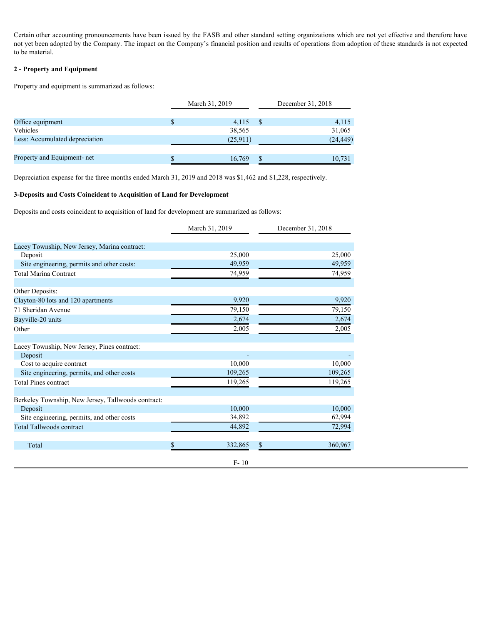Certain other accounting pronouncements have been issued by the FASB and other standard setting organizations which are not yet effective and therefore have not yet been adopted by the Company. The impact on the Company's financial position and results of operations from adoption of these standards is not expected to be material.

# **2 - Property and Equipment**

Property and equipment is summarized as follows:

|                                | March 31, 2019 | December 31, 2018 |  |
|--------------------------------|----------------|-------------------|--|
|                                |                |                   |  |
| Office equipment               | 4,115          | 4,115             |  |
| Vehicles                       | 38,565         | 31,065            |  |
| Less: Accumulated depreciation | (25.911)       | (24, 449)         |  |
|                                |                |                   |  |
| Property and Equipment- net    | 16,769         | 10,731            |  |

Depreciation expense for the three months ended March 31, 2019 and 2018 was \$1,462 and \$1,228, respectively.

# **3-Deposits and Costs Coincident to Acquisition of Land for Development**

Deposits and costs coincident to acquisition of land for development are summarized as follows:

|                                                    | March 31, 2019 | December 31, 2018        |
|----------------------------------------------------|----------------|--------------------------|
| Lacey Township, New Jersey, Marina contract:       |                |                          |
| Deposit                                            | 25,000         | 25,000                   |
| Site engineering, permits and other costs:         | 49,959         | 49,959                   |
| Total Marina Contract                              | 74,959         | 74,959                   |
| Other Deposits:                                    |                |                          |
| Clayton-80 lots and 120 apartments                 | 9,920          | 9,920                    |
| 71 Sheridan Avenue                                 | 79,150         | 79,150                   |
| Bayville-20 units                                  | 2,674          | 2,674                    |
| Other                                              | 2,005          | 2,005                    |
|                                                    |                |                          |
| Lacey Township, New Jersey, Pines contract:        |                |                          |
| Deposit                                            |                | $\overline{\phantom{a}}$ |
| Cost to acquire contract                           | 10,000         | 10,000                   |
| Site engineering, permits, and other costs         | 109,265        | 109,265                  |
| <b>Total Pines contract</b>                        | 119,265        | 119,265                  |
|                                                    |                |                          |
| Berkeley Township, New Jersey, Tallwoods contract: |                |                          |
| Deposit                                            | 10,000         | 10,000                   |
| Site engineering, permits, and other costs         | 34,892         | 62,994                   |
| <b>Total Tallwoods contract</b>                    | 44,892         | 72,994                   |
| Total                                              | 332,865<br>S   | 360,967<br>\$            |
|                                                    | $F-10$         |                          |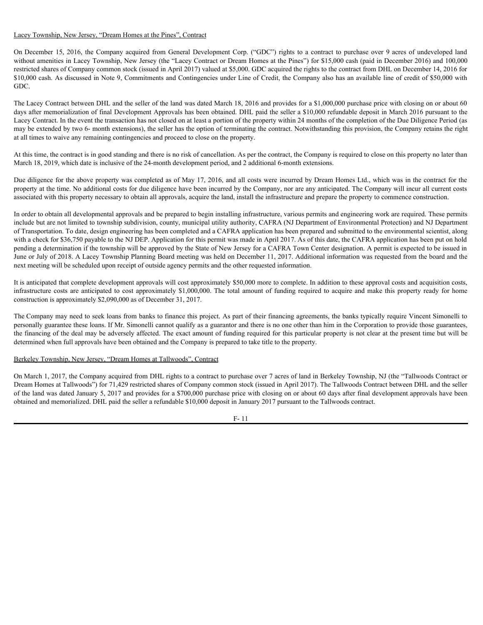# Lacey Township, New Jersey, "Dream Homes at the Pines", Contract

Lacey Township. New Jersey. "Dream Homes at the Pines". Contract<br>On December 15, 2016, the Company acquired from General Development Corp. ("GDC") rights to a contract to purchase over 9 acres of undeveloped land<br>without a without amenities in Lacey Township, New Jersey (the "Lacey Contract or Dream Homes at the Pines") for \$15,000 cash (paid in December 2016) and 100,000 restricted shares of Company common stock (issued in April 2017) valued at \$5,000. GDC acquired the rights to the contract from DHL on December 14, 2016 for \$10,000 cash. As discussed in Note 9, Commitments and Contingencies under Line of Credit, the Company also has an available line of credit of \$50,000 with GDC.

The Lacey Contract between DHL and the seller of the land was dated March 18, 2016 and provides for a \$1,000,000 purchase price with closing on or about 60 days after memorialization of final Development Approvals has been obtained. DHL paid the seller a \$10,000 refundable deposit in March 2016 pursuant to the Lacey Contract. In the event the transaction has not closed on at least a portion of the property within 24 months of the completion of the Due Diligence Period (as may be extended by two 6- month extensions), the seller has the option of terminating the contract. Notwithstanding this provision, the Company retains the right at all times to waive any remaining contingencies and proceed to close on the property.

At this time, the contract is in good standing and there is no risk of cancellation. As per the contract, the Company is required to close on this property no later than March 18, 2019, which date is inclusive of the 24-month development period, and 2 additional 6-month extensions.

Due diligence for the above property was completed as of May 17, 2016, and all costs were incurred by Dream Homes Ltd., which was in the contract for the property at the time. No additional costs for due diligence have been incurred by the Company, nor are any anticipated. The Company will incur all current costs associated with this property necessary to obtain all approvals, acquire the land, install the infrastructure and prepare the property to commence construction.

In order to obtain all developmental approvals and be prepared to begin installing infrastructure, various permits and engineering work are required. These permits include but are not limited to township subdivision, county, municipal utility authority, CAFRA (NJ Department of Environmental Protection) and NJ Department of Transportation. To date, design engineering has been completed and a CAFRA application has been prepared and submitted to the environmental scientist, along with a check for \$36,750 payable to the NJ DEP. Application for this permit was made in April 2017. As of this date, the CAFRA application has been put on hold pending a determination if the township will be approved by the State of New Jersey for a CAFRA Town Center designation. A permit is expected to be issued in June or July of 2018. A Lacey Township Planning Board meeting was held on December 11, 2017. Additional information was requested from the board and the next meeting will be scheduled upon receipt of outside agency permits and the other requested information. Lever Coronalis New Jerux. "Droam Homes at the Piner". Contract Development Corp. ("GDC") right to a contract Deutsine over 3 are of considered to the costs are not the total proposed by the costs are not the total amount

It is anticipated that complete development approvals will cost approximately \$50,000 more to complete. In addition to these approval costs and acquisition costs, construction is approximately \$2,090,000 as of December 31, 2017.

The Company may need to seek loans from banks to finance this project. As part of their financing agreements, the banks typically require Vincent Simonelli to personally guarantee these loans. If Mr. Simonelli cannot qualify as a guarantor and there is no one other than him in the Corporation to provide those guarantees, the financing of the deal may be adversely affected. The exact amount of funding required for this particular property is not clear at the present time but will be determined when full approvals have been obtained and the Company is prepared to take title to the property.

## Berkeley Township, New Jersey, "Dream Homes at Tallwoods", Contract

On March 1, 2017, the Company acquired from DHL rights to a contract to purchase over 7 acres of land in Berkeley Township, NJ (the "Tallwoods Contract or Dream Homes at Tallwoods") for 71,429 restricted shares of Company common stock (issued in April 2017). The Tallwoods Contract between DHL and the seller of the land was dated January 5, 2017 and provides for a \$700,000 purchase price with closing on or about 60 days after final development approvals have been obtained and memorialized. DHL paid the seller a refundable \$10,000 deposit in January 2017 pursuant to the Tallwoods contract.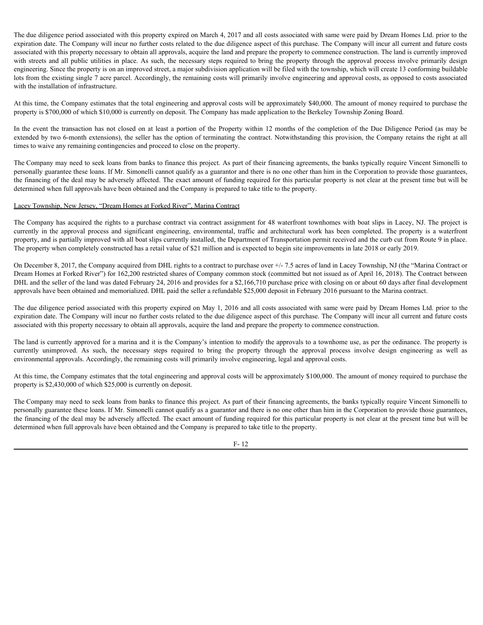The due diligence period associated with this property expired on March 4, 2017 and all costs associated with same were paid by Dream Homes Ltd. prior to the expiration date. The Company will incur no further costs related to the due diligence aspect of this purchase. The Company will incur all current and future costs associated with this property necessary to obtain all approvals, acquire the land and prepare the property to commence construction. The land is currently improved with streets and all public utilities in place. As such, the necessary steps required to bring the property through the approval process involve primarily design engineering. Since the property is on an improved street, a major subdivision application will be filed with the township, which will create 13 conforming buildable lots from the existing single 7 acre parcel. Accordingly, the remaining costs will primarily involve engineering and approval costs, as opposed to costs associated with the installation of infrastructure. The due diligence period associated with this property expired on March 4, 2017 and all costs associated with same were paid by Dream Homes Ld., prior to the expression constrained with insproperty necessary colonian all a The due diference pertod issociated with this property expired on March 4, 2017 and all costs ancested with same were paid by Detain March and the compare significant data that the compare with the compare with the archit

At this time, the Company estimates that the total engineering and approval costs will be approximately \$40,000. The amount of money required to purchase the property is \$700,000 of which \$10,000 is currently on deposit. The Company has made application to the Berkeley Township Zoning Board.

extended by two 6-month extensions), the seller has the option of terminating the contract. Notwithstanding this provision, the Company retains the right at all times to waive any remaining contingencies and proceed to close on the property.

The Company may need to seek loans from banks to finance this project. As part of their financing agreements, the banks typically require Vincent Simonelli to personally guarantee these loans. If Mr. Simonelli cannot qualify as a guarantor and there is no one other than him in the Corporation to provide those guarantees, the financing of the deal may be adversely affected. The exact amount of funding required for this particular property is not clear at the present time but will be determined when full approvals have been obtained and the Company is prepared to take title to the property. At this time, the Compare strimuts that the text registering and approval costs will be approximately \$40,000. The amount of morey registed to prove the distribution of the bring of the strime of the properties of the Dis

## Lacey Township, New Jersey, "Dream Homes at Forked River", Marina Contract

The Company has acquired the rights to a purchase contract via contract assignment for 48 waterfront townhomes with boat slips in Lacey, NJ. The project is property, and is partially improved with all boat slips currently installed, the Department of Transportation permit received and the curb cut from Route 9 in place. The property when completely constructed has a retail value of \$21 million and is expected to begin site improvements in late 2018 or early 2019.

On December 8, 2017, the Company acquired from DHL rights to a contract to purchase over +/- 7.5 acres of land in Lacey Township, NJ (the "Marina Contract or Dream Homes at Forked River") for 162,200 restricted shares of Company common stock (committed but not issued as of April 16, 2018). The Contract between DHL and the seller of the land was dated February 24, 2016 and provides for a \$2,166,710 purchase price with closing on or about 60 days after final development approvals have been obtained and memorialized. DHL paid the seller a refundable \$25,000 deposit in February 2016 pursuant to the Marina contract.

The due diligence period associated with this property expired on May 1, 2016 and all costs associated with same were paid by Dream Homes Ltd. prior to the expiration date. The Company will incur no further costs related to the due diligence aspect of this purchase. The Company will incur all current and future costs associated with this property necessary to obtain all approvals, acquire the land and prepare the property to commence construction.

The land is currently approved for a marina and it is the Company's intention to modify the approvals to a townhome use, as per the ordinance. The property is environmental approvals. Accordingly, the remaining costs will primarily involve engineering, legal and approval costs.

At this time, the Company estimates that the total engineering and approval costs will be approximately \$100,000. The amount of money required to purchase the property is \$2,430,000 of which \$25,000 is currently on deposit.

The Company may need to seek loans from banks to finance this project. As part of their financing agreements, the banks typically require Vincent Simonelli to personally guarantee these loans. If Mr. Simonelli cannot qualify as a guarantor and there is no one other than him in the Corporation to provide those guarantees, the financing of the deal may be adversely affected. The exact amount of funding required for this particular property is not clear at the present time but will be determined when full approvals have been obtained and the Company is prepared to take title to the property.

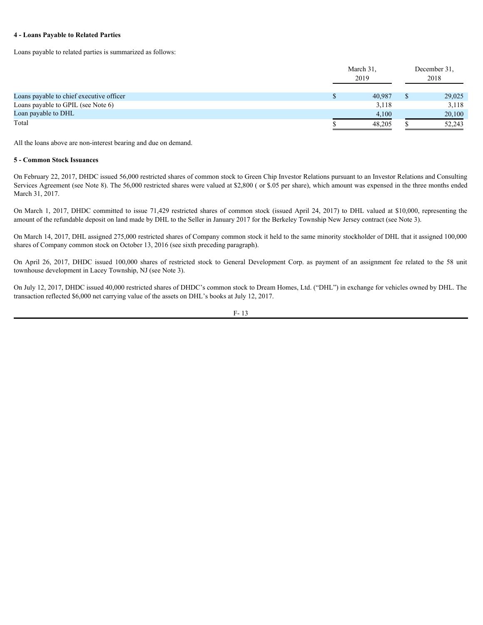# **4 - Loans Payable to Related Parties**

| <b>4 - Loans Payable to Related Parties</b>                                                                                                                                                                                                                                                                                                       |                         |                        |
|---------------------------------------------------------------------------------------------------------------------------------------------------------------------------------------------------------------------------------------------------------------------------------------------------------------------------------------------------|-------------------------|------------------------|
| Loans payable to related parties is summarized as follows:                                                                                                                                                                                                                                                                                        |                         |                        |
|                                                                                                                                                                                                                                                                                                                                                   |                         |                        |
|                                                                                                                                                                                                                                                                                                                                                   | March 31,<br>2019       | December 31,<br>2018   |
| Loans payable to chief executive officer                                                                                                                                                                                                                                                                                                          | 40,987<br><sup>\$</sup> | <sup>S</sup><br>29,025 |
| Loans payable to GPIL (see Note 6)                                                                                                                                                                                                                                                                                                                | 3,118                   | 3,118                  |
| Loan payable to DHL                                                                                                                                                                                                                                                                                                                               | 4,100                   | 20,100                 |
| Total                                                                                                                                                                                                                                                                                                                                             | 48,205                  | 52,243                 |
| All the loans above are non-interest bearing and due on demand.                                                                                                                                                                                                                                                                                   |                         |                        |
| <b>5 - Common Stock Issuances</b>                                                                                                                                                                                                                                                                                                                 |                         |                        |
| On February 22, 2017, DHDC issued 56,000 restricted shares of common stock to Green Chip Investor Relations pursuant to an Investor Relations and Consulting<br>Services Agreement (see Note 8). The 56,000 restricted shares were valued at \$2,800 (or \$.05 per share), which amount was expensed in the three months ended<br>March 31, 2017. |                         |                        |
| On March 1, 2017, DHDC committed to issue 71,429 restricted shares of common stock (issued April 24, 2017) to DHL valued at \$10,000, representing the<br>amount of the refundable deposit on land made by DHL to the Seller in January 2017 for the Berkeley Township New Jersey contract (see Note 3).                                          |                         |                        |
| On March 14, 2017, DHL assigned 275,000 restricted shares of Company common stock it held to the same minority stockholder of DHL that it assigned 100,000<br>shares of Company common stock on October 13, 2016 (see sixth preceding paragraph).                                                                                                 |                         |                        |
| On April 26, 2017, DHDC issued 100,000 shares of restricted stock to General Development Corp. as payment of an assignment fee related to the 58 unit<br>townhouse development in Lacey Township, NJ (see Note 3).                                                                                                                                |                         |                        |
| On July 12, 2017, DHDC issued 40,000 restricted shares of DHDC's common stock to Dream Homes, Ltd. ("DHL") in exchange for vehicles owned by DHL. The<br>transaction reflected \$6,000 net carrying value of the assets on DHL's books at July 12, 2017.                                                                                          |                         |                        |
| $F - 13$                                                                                                                                                                                                                                                                                                                                          |                         |                        |
|                                                                                                                                                                                                                                                                                                                                                   |                         |                        |

# **5 - Common Stock Issuances**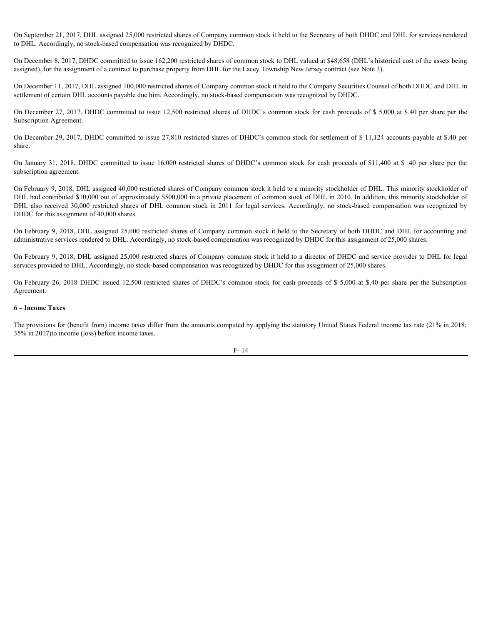On September 21, 2017, DHL assigned 25,000 restricted shares of Company common stock it held to the Secretary of both DHDC and DHL for services rendered to DHL. Accordingly, no stock-based compensation was recognized by DHDC.

On December 8, 2017, DHDC committed to issue 162,200 restricted shares of common stock to DHL valued at \$48,658 (DHL's historical cost of the assets being assigned), for the assignment of a contract to purchase property from DHL for the Lacey Township New Jersey contract (see Note 3).

On December 11, 2017, DHL assigned 100,000 restricted shares of Company common stock it held to the Company Securities Counsel of both DHDC and DHL in settlement of certain DHL accounts payable due him. Accordingly, no stock-based compensation was recognized by DHDC.

On December 27, 2017, DHDC committed to issue 12,500 restricted shares of DHDC's common stock for cash proceeds of \$ 5,000 at \$.40 per share per the Subscription Agreement.

On December 29, 2017, DHDC committed to issue 27,810 restricted shares of DHDC's common stock for settlement of \$ 11,124 accounts payable at \$.40 per share.

subscription agreement.

On September 21, 2017, DHL assigned 25,000 restricted shares of Company common stock it held to the Secretary of both DHDC and DHL for services rendered to DHL. Accordingly, no stock-based compensation was recognized by DH On February 9, 2018, DHL assigned 40,000 restricted shares of Company common stock it held to a minority stockholder of DHL. This minority stockholder of DHL had contributed \$10,000 out of approximately \$500,000 in a private placement of common stock of DHL in 2010. In addition, this minority stockholder of On September 21, 2017, DHL assigned 25,000 restricted shares of Company common stock it held to the Secretary of both DHDC and DHL for services readered to DHL convenient to a common stock of the stock of DHT valued at \$48 DHDC for this assignment of 40,000 shares. On September 21, 2017, DHL assigned 23,000 restricted shares of Company common stock it held to dis-Sected of DHL common stock DML is hold and the Common stock company in DHL common stock company in the company of the sou

On February 9, 2018, DHL assigned 25,000 restricted shares of Company common stock it held to the Secretary of both DHDC and DHL for accounting and administrative services rendered to DHL. Accordingly, no stock-based compensation was recognized by DHDC for this assignment of 25,000 shares.

On February 9, 2018, DHL assigned 25,000 restricted shares of Company common stock it held to a director of DHDC and service provider to DHL for legal services provided to DHL. Accordingly, no stock-based compensation was recognized by DHDC for this assignment of 25,000 shares.

Agreement.

## **6 – Income Taxes**

The provisions for (benefit from) income taxes differ from the amounts computed by applying the statutory United States Federal income tax rate (21% in 2018; 35% in 2017)to income (loss) before income taxes.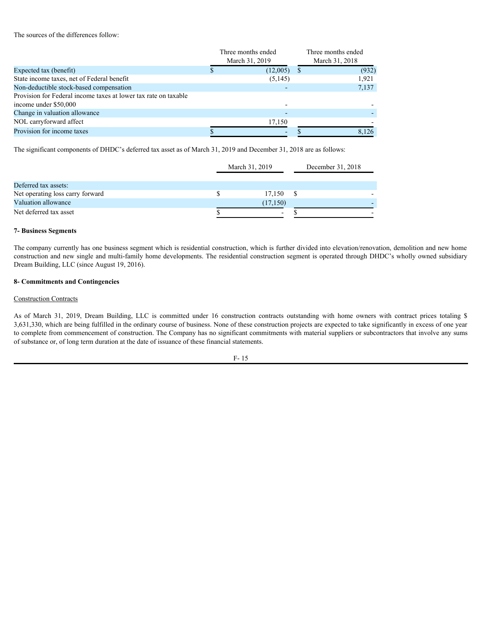The sources of the differences follow:

|                                                                                                                                                                                                                                                                                                                                                                          |               | Three months ended<br>March 31, 2019 | Three months ended | March 31, 2018 |
|--------------------------------------------------------------------------------------------------------------------------------------------------------------------------------------------------------------------------------------------------------------------------------------------------------------------------------------------------------------------------|---------------|--------------------------------------|--------------------|----------------|
| Expected tax (benefit)                                                                                                                                                                                                                                                                                                                                                   | $\mathcal{S}$ | (12,005)                             | $\mathbf S$        | (932)          |
| State income taxes, net of Federal benefit                                                                                                                                                                                                                                                                                                                               |               | (5,145)                              |                    | 1,921          |
| Non-deductible stock-based compensation                                                                                                                                                                                                                                                                                                                                  |               |                                      |                    | 7,137          |
| Provision for Federal income taxes at lower tax rate on taxable                                                                                                                                                                                                                                                                                                          |               |                                      |                    |                |
| income under \$50,000                                                                                                                                                                                                                                                                                                                                                    |               |                                      |                    |                |
| Change in valuation allowance                                                                                                                                                                                                                                                                                                                                            |               |                                      |                    |                |
| NOL carryforward affect                                                                                                                                                                                                                                                                                                                                                  |               | 17,150                               |                    |                |
| Provision for income taxes                                                                                                                                                                                                                                                                                                                                               |               | $\overline{a}$                       | $\mathbb{S}$       | 8,126          |
|                                                                                                                                                                                                                                                                                                                                                                          |               | March 31, 2019                       | December 31, 2018  |                |
| Deferred tax assets:                                                                                                                                                                                                                                                                                                                                                     |               |                                      |                    |                |
| Net operating loss carry forward<br>Valuation allowance                                                                                                                                                                                                                                                                                                                  | -S            | 17,150                               | - \$               |                |
| Net deferred tax asset                                                                                                                                                                                                                                                                                                                                                   |               | (17,150)                             | -S                 |                |
|                                                                                                                                                                                                                                                                                                                                                                          |               |                                      |                    |                |
| <b>7- Business Segments</b>                                                                                                                                                                                                                                                                                                                                              |               |                                      |                    |                |
| The company currently has one business segment which is residential construction, which is further divided into elevation/renovation, demolition and new home<br>construction and new single and multi-family home developments. The residential construction segment is operated through DHDC's wholly owned subsidiary<br>Dream Building, LLC (since August 19, 2016). |               |                                      |                    |                |
| 8- Commitments and Contingencies                                                                                                                                                                                                                                                                                                                                         |               |                                      |                    |                |
| <b>Construction Contracts</b>                                                                                                                                                                                                                                                                                                                                            |               |                                      |                    |                |
| As of March 31, 2019, Dream Building, LLC is committed under 16 construction contracts outstanding with home owners with contract prices totaling \$<br>3,631,330, which are being fulfilled in the ordinary course of business. None of these construction projects are expected to take significantly in excess of one year                                            |               |                                      |                    |                |
| to complete from commencement of construction. The Company has no significant commitments with material suppliers or subcontractors that involve any sums<br>of substance or, of long term duration at the date of issuance of these financial statements.                                                                                                               |               |                                      |                    |                |

|                                  | March 31, 2019           |  | December 31, 2018 |  |  |
|----------------------------------|--------------------------|--|-------------------|--|--|
| Deferred tax assets:             |                          |  |                   |  |  |
| Net operating loss carry forward | 17,150                   |  |                   |  |  |
| Valuation allowance              | (17, 150)                |  |                   |  |  |
| Net deferred tax asset           | $\overline{\phantom{0}}$ |  |                   |  |  |

# **7- Business Segments**

# **8- Commitments and Contingencies**

# Construction Contracts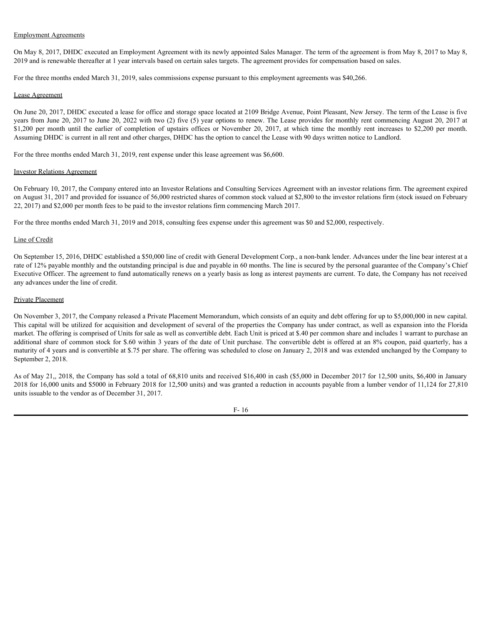# Employment Agreements

On May 8, 2017, DHDC executed an Employment Agreement with its newly appointed Sales Manager. The term of the agreement is from May 8, 2017 to May 8, 2019 and is renewable thereafter at 1 year intervals based on certain sales targets. The agreement provides for compensation based on sales.

For the three months ended March 31, 2019, sales commissions expense pursuant to this employment agreements was \$40,266.

#### Lease Agreement

On June 20, 2017, DHDC executed a lease for office and storage space located at 2109 Bridge Avenue, Point Pleasant, New Jersey. The term of the Lease is five years from June 20, 2017 to June 20, 2022 with two (2) five (5) year options to renew. The Lease provides for monthly rent commencing August 20, 2017 at Employment Agreements<br>
On May 8, 2017, DHDC executed an Employment Agreement with its newly appointed Sales Manager. The term of the agreement is from May 8, 2017 to May 8,<br>
2019 and is renewable thereafter at 1 year inter Assuming DHDC is current in all rent and other charges, DHDC has the option to cancel the Lease with 90 days written notice to Landlord.

For the three months ended March 31, 2019, rent expense under this lease agreement was \$6,600.

#### Investor Relations Agreement

On February 10, 2017, the Company entered into an Investor Relations and Consulting Services Agreement with an investor relations firm. The agreement expired on August 31, 2017 and provided for issuance of 56,000 restricted shares of common stock valued at \$2,800 to the investor relations firm (stock issued on February 22, 2017) and \$2,000 per month fees to be paid to the investor relations firm commencing March 2017.

For the three months ended March 31, 2019 and 2018, consulting fees expense under this agreement was \$0 and \$2,000, respectively.

## Line of Credit

On September 15, 2016, DHDC established a \$50,000 line of credit with General Development Corp., a non-bank lender. Advances under the line bear interest at a rate of 12% payable monthly and the outstanding principal is due and payable in 60 months. The line is secured by the personal guarantee of the Company's Chief Executive Officer. The agreement to fund automatically renews on a yearly basis as long as interest payments are current. To date, the Company has not received any advances under the line of credit.

#### Private Placement

On November 3, 2017, the Company released a Private Placement Memorandum, which consists of an equity and debt offering for up to \$5,000,000 in new capital. This capital will be utilized for acquisition and development of several of the properties the Company has under contract, as well as expansion into the Florida market. The offering is comprised of Units for sale as well as convertible debt. Each Unit is priced at \$.40 per common share and includes 1 warrant to purchase an additional share of common stock for \$.60 within 3 years of the date of Unit purchase. The convertible debt is offered at an 8% coupon, paid quarterly, has a maturity of 4 years and is convertible at \$.75 per share. The offering was scheduled to close on January 2, 2018 and was extended unchanged by the Company to September 2, 2018.

As of May 21,, 2018, the Company has sold a total of 68,810 units and received \$16,400 in cash (\$5,000 in December 2017 for 12,500 units, \$6,400 in January 2018 for 16,000 units and \$5000 in February 2018 for 12,500 units) and was granted a reduction in accounts payable from a lumber vendor of 11,124 for 27,810 units issuable to the vendor as of December 31, 2017.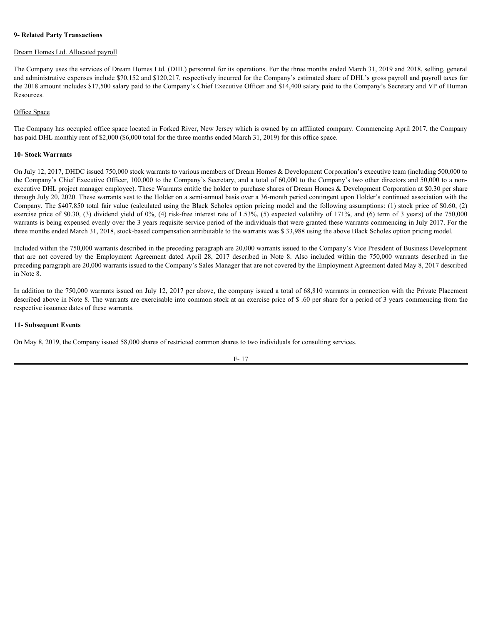### **9- Related Party Transactions**

# Dream Homes Ltd. Allocated payroll

The Company uses the services of Dream Homes Ltd. (DHL) personnel for its operations. For the three months ended March 31, 2019 and 2018, selling, general and administrative expenses include \$70,152 and \$120,217, respectively incurred for the Company's estimated share of DHL's gross payroll and payroll taxes for the 2018 amount includes \$17,500 salary paid to the Company's Chief Executive Officer and \$14,400 salary paid to the Company's Secretary and VP of Human Resources.

# Office Space

The Company has occupied office space located in Forked River, New Jersey which is owned by an affiliated company. Commencing April 2017, the Company has paid DHL monthly rent of \$2,000 (\$6,000 total for the three months ended March 31, 2019) for this office space.

#### **10- Stock Warrants**

On July 12, 2017, DHDC issued 750,000 stock warrants to various members of Dream Homes & Development Corporation's executive team (including 500,000 to the Company's Chief Executive Officer, 100,000 to the Company's Secretary, and a total of 60,000 to the Company's two other directors and 50,000 to a nonexecutive DHL project manager employee). These Warrants entitle the holder to purchase shares of Dream Homes & Development Corporation at \$0.30 per share through July 20, 2020. These warrants vest to the Holder on a semi-annual basis over a 36-month period contingent upon Holder's continued association with the Company. The \$407,850 total fair value (calculated using the Black Scholes option pricing model and the following assumptions: (1) stock price of \$0.60, (2) exercise price of \$0.30, (3) dividend yield of 0%, (4) risk-free interest rate of 1.53%, (5) expected volatility of 171%, and (6) term of 3 years) of the 750,000 warrants is being expensed evenly over the 3 years requisite service period of the individuals that were granted these warrants commencing in July 2017. For the three months ended March 31, 2018, stock-based compensation attributable to the warrants was \$ 33,988 using the above Black Scholes option pricing model. 9. Related Party Transactions<br>
Dream Homes Lat. Allocated partial<br>
The Company is an discussion of Decay II (ND) and (ND) presented for the signatures. For fits these members of Mathematical explored and Solvey and the Com

Included within the 750,000 warrants described in the preceding paragraph are 20,000 warrants issued to the Company's Vice President of Business Development preceding paragraph are 20,000 warrants issued to the Company's Sales Manager that are not covered by the Employment Agreement dated May 8, 2017 described in Note 8.

In addition to the 750,000 warrants issued on July 12, 2017 per above, the company issued a total of 68,810 warrants in connection with the Private Placement described above in Note 8. The warrants are exercisable into common stock at an exercise price of \$ .60 per share for a period of 3 years commencing from the respective issuance dates of these warrants.

## **11- Subsequent Events**

On May 8, 2019, the Company issued 58,000 shares of restricted common shares to two individuals for consulting services.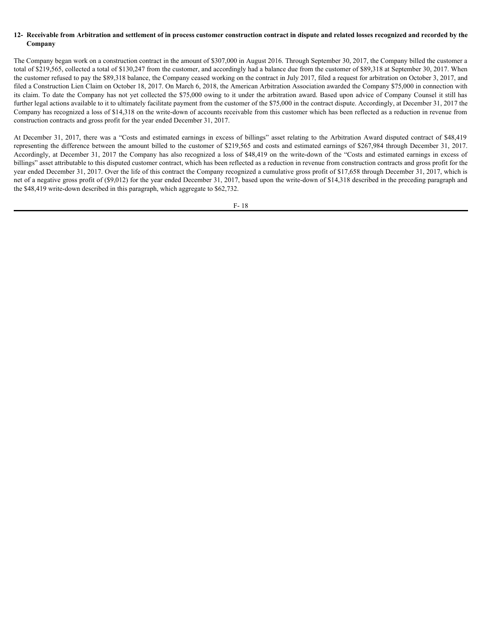# **12- Receivable from Arbitration and settlement of in process customer construction contract in dispute and related losses recognized and recorded by the Company**

The Company began work on a construction contract in the amount of \$307,000 in August 2016. Through September 30, 2017, the Company billed the customer a total of \$219,565, collected a total of \$130,247 from the customer, and accordingly had a balance due from the customer of \$89,318 at September 30, 2017. When the customer refused to pay the \$89,318 balance, the Company ceased working on the contract in July 2017, filed a request for arbitration on October 3, 2017, and filed a Construction Lien Claim on October 18, 2017. On March 6, 2018, the American Arbitration Association awarded the Company \$75,000 in connection with its claim. To date the Company has not yet collected the \$75,000 owing to it under the arbitration award. Based upon advice of Company Counsel it still has further legal actions available to it to ultimately facilitate payment from the customer of the \$75,000 in the contract dispute. Accordingly, at December 31, 2017 the Company has recognized a loss of \$14,318 on the write-down of accounts receivable from this customer which has been reflected as a reduction in revenue from construction contracts and gross profit for the year ended December 31, 2017. 12- Receivable from Arbitration and settlement of in process customer construction contract in dispute and related losses recognized and recorded by the Company<br>
The Company began work on a construction contract in the am

representing the difference between the amount billed to the customer of \$219,565 and costs and estimated earnings of \$267,984 through December 31, 2017. Accordingly, at December 31, 2017 the Company has also recognized a loss of \$48,419 on the write-down of the "Costs and estimated earnings in excess of billings" asset attributable to this disputed customer contract, which has been reflected as a reduction in revenue from construction contracts and gross profit for the year ended December 31, 2017. Over the life of this contract the Company recognized a cumulative gross profit of \$17,658 through December 31, 2017, which is net of a negative gross profit of (\$9,012) for the year ended December 31, 2017, based upon the write-down of \$14,318 described in the preceding paragraph and the \$48,419 write-down described in this paragraph, which aggregate to \$62,732.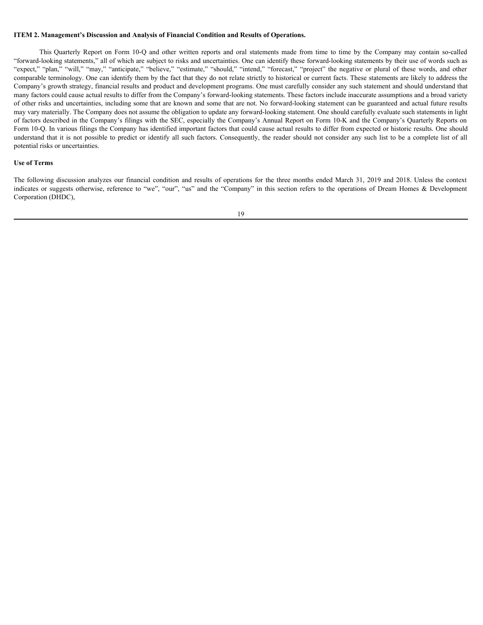#### <span id="page-18-0"></span>**ITEM 2. Management's Discussion and Analysis of Financial Condition and Results of Operations.**

**Management's Discussion and Analysis of Financial Condition and Results of Operations.**<br>This Quarterly Report on Form 10-Q and other written reports and oral statements made from time to time by the Company may contain so "forward-looking statements," all of which are subject to risks and uncertainties. One can identify these forward-looking statements by their use of words such as TTEM 2. Management's Discussion and Analysis of Financial Condition and Results of Operations.<br>
This Quarterly Report on Form 10-Q and other written reports and oral statements made from time to time by the Company may con comparable terminology. One can identify them by the fact that they do not relate strictly to historical or current facts. These statements are likely to address the Company's growth strategy, financial results and product and development programs. One must carefully consider any such statement and should understand that many factors could cause actual results to differ from the Company's forward-looking statements. These factors include inaccurate assumptions and a broad variety of other risks and uncertainties, including some that are known and some that are not. No forward-looking statement can be guaranteed and actual future results may vary materially. The Company does not assume the obligation to update any forward-looking statement. One should carefully evaluate such statements in light of factors described in the Company's filings with the SEC, especially the Company's Annual Report on Form 10-K and the Company's Quarterly Reports on Form 10-Q. In various filings the Company has identified important factors that could cause actual results to differ from expected or historic results. One should understand that it is not possible to predict or identify all such factors. Consequently, the reader should not consider any such list to be a complete list of all potential risks or uncertainties. TTEM 2. Management's Discussion and Analysis of Financial Condition and Results of Operations.<br>
The Quartery Report on Form 10-Q and other written reports and oral statements made from time to time by the Company razy con **ITEM 2. Management's Discussion and Analysis of Financial Condition and Results of Operations.**<br>
This Quartely Report on Form 10-Q and other written reports and one datements made from time to time by the Company may con

#### **Use of Terms**

Corporation (DHDC),

19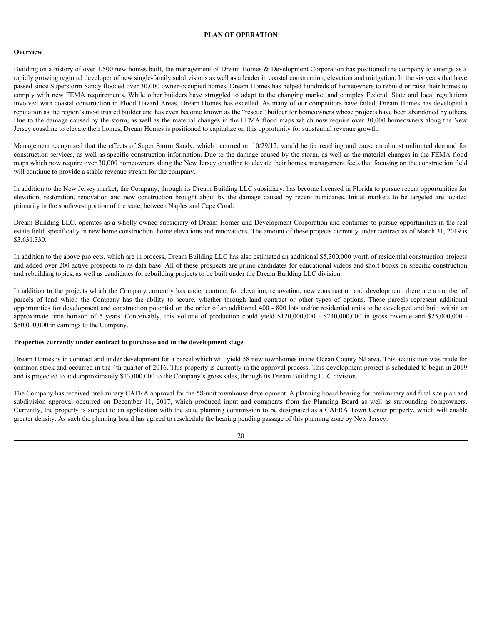# **PLAN OF OPERATION**

#### **Overview Overview** *Overview*

Building on a history of over 1,500 new homes built, the management of Dream Homes & Development Corporation has positioned the company to emerge as a rapidly growing regional developer of new single-family subdivisions as well as a leader in coastal construction, elevation and mitigation. In the six years that have passed since Superstorm Sandy flooded over 30,000 owner-occupied homes, Dream Homes has helped hundreds of homeowners to rebuild or raise their homes to **CONSTRIGUS EXECT TO THE COMPOVER CONSTRIGUS CONSTRIGUS DESCRIPTION**<br>
Building on a history of over 1,500 new homes built, the management of Dream Homes & Development Corporation has positioned the company to emerge as a<br> involved with coastal construction in Flood Hazard Areas, Dream Homes has excelled. As many of our competitors have failed, Dream Homes has developed a reputation as the region's most trusted builder and has even become known as the "rescue" builder for homeowners whose projects have been abandoned by others. Due to the damage caused by the storm, as well as the material changes in the FEMA flood maps which now require over 30,000 homeowners along the New Jersey coastline to elevate their homes, Dream Homes is positioned to capitalize on this opportunity for substantial revenue growth. **PLAN OF OPERATION**<br> **PLAN OF OPERATION**<br> **Physiology** of over 1,500 new homes built, the management of Dicam Homes & Development Corporation has positioned the company to emerge as a<br>propolation second second production Overview<br>
Overview<br>
Dualising on a lastory of over 1,500 new house bail, the annaposed of Dican House & Development Coperation in positioned to company to energy<br>equality of the marge parcel and position over 20:00 over a Building on a bistory of over 1.500 new bornes built, the management of Drasm Horizon & Development Corporation has painting in the system and the painting in the system of the system and the system and the system and the

Management recognized that the effects of Super Storm Sandy, which occurred on 10/29/12, would be far reaching and cause an almost unlimited demand for construction services, as well as specific construction information. Due to the damage caused by the storm, as well as the material changes in the FEMA flood maps which now require over 30,000 homeowners along the New Jersey coastline to elevate their homes, management feels that focusing on the construction field will continue to provide a stable revenue stream for the company.

In addition to the New Jersey market, the Company, through its Dream Building LLC subsidiary, has become licensed in Florida to pursue recent opportunities for primarily in the southwest portion of the state, between Naples and Cape Coral.

Dream Building LLC. operates as a wholly owned subsidiary of Dream Homes and Development Corporation and continues to pursue opportunities in the real estate field, specifically in new home construction, home elevations and renovations. The amount of these projects currently under contract as of March 31, 2019 is \$3,631,330.

In addition to the above projects, which are in process, Dream Building LLC has also estimated an additional \$5,300,000 worth of residential construction projects and added over 200 active prospects to its data base. All of these prospects are prime candidates for educational videos and short books on specific construction and rebuilding topics, as well as candidates for rebuilding projects to be built under the Dream Building LLC division.

In addition to the projects which the Company currently has under contract for elevation, renovation, new construction and development, there are a number of opportunities for development and construction potential on the order of an additional 400 - 800 lots and/or residential units to be developed and built within an \$50,000,000 in earnings to the Company. Mangement receptred but he clients of Signes Now Theoly onknow commit in 02512 would be for each me mainly ambed to the approximate the commissues of the format and the provision for the Board Commissues (Note that the Boa

#### **Properties currently under contract to purchase and in the development stage**

Dream Homes is in contract and under development for a parcel which will yield 58 new townhomes in the Ocean County NJ area. This acquisition was made for common stock and occurred in the 4th quarter of 2016. This property is currently in the approval process. This development project is scheduled to begin in 2019 and is projected to add approximately \$13,000,000 to the Company's gross sales, through its Dream Building LLC division.

The Company has received preliminary CAFRA approval for the 58-unit townhouse development. A planning board hearing for preliminary and final site plan and Currently, the property is subject to an application with the state planning commission to be designated as a CAFRA Town Center property, which will enable greater density. As such the planning board has agreed to reschedule the hearing pending passage of this planning zone by New Jersey.

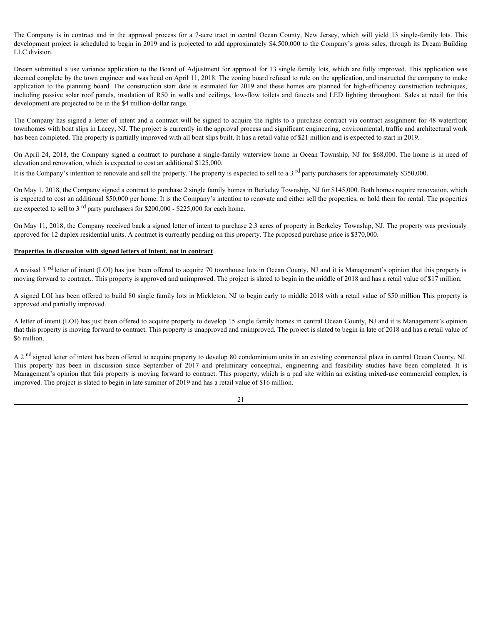development project is scheduled to begin in 2019 and is projected to add approximately \$4,500,000 to the Company's gross sales, through its Dream Building LLC division.

The Company is in contract and in the approval process for a 7-acre tract in central Ocean County, New Jersey, which will yield 13 single-family lots. This development project is scheduled to begin in 2019 and is projected Dream submitted a use variance application to the Board of Adjustment for approval for 13 single family lots, which are fully improved. This application was deemed complete by the town engineer and was head on April 11, 2018. The zoning board refused to rule on the application, and instructed the company to make The Company is in contract and in the approval process for a 7-acre tract in central Ocean County, New Jersey, which will yield 13 single-family lots. This development roject is scheduled to begin in 2019 and is projected The Company is in contract and in the approval process for a 7-acre tract in central Ocean County, New Jersey, which will yield 13 single-family lots. This development project is scheduled to begin in 2019 and is projected development are projected to be in the \$4 million-dollar range. The Company is in contract and in the approval process for a <sup>7</sup>-acre tract in central Ocean County, New Jersey, which will yield 13 single-family lots. This development project is scheduled to begin in 2019 and is projec

The Company has signed a letter of intent and a contract will be signed to acquire the rights to a purchase contract via contract assignment for 48 waterfront townhomes with boat slips in Lacey, NJ. The project is currently in the approval process and significant engineering, environmental, traffic and architectural work has been completed. The property is partially improved with all boat slips built. It has a retail value of \$21 million and is expected to start in 2019.

elevation and renovation, which is expected to cost an additional \$125,000.

It is the Company's intention to renovate and sell the property. The property is expected to sell to a 3<sup>rd</sup> party purchasers for approximately \$350,000.

On May 1, 2018, the Company signed a contract to purchase 2 single family homes in Berkeley Township, NJ for \$145,000. Both homes require renovation, which is expected to cost an additional \$50,000 per home. It is the Company's intention to renovate and either sell the properties, or hold them for rental. The properties are expected to sell to 3<sup>rd</sup> party purchasers for \$200,000 - \$225,000 for each home.

On May 11, 2018, the Company received back a signed letter of intent to purchase 2.3 acres of property in Berkeley Township, NJ. The property was previously approved for 12 duplex residential units. A contract is currently pending on this property. The proposed purchase price is \$370,000.

#### **Properties in discussion with signed letters of intent, not in contract**

A revised 3<sup>rd</sup> letter of intent (LOI) has just been offered to acquire 70 townhouse lots in Ocean County, NJ and it is Management's opinion that this property is moving forward to contract.. This property is approved and unimproved. The project is slated to begin in the middle of 2018 and has a retail value of \$17 million.

A signed LOI has been offered to build 80 single family lots in Mickleton, NJ to begin early to middle 2018 with a retail value of \$50 million This property is approved and partially improved.

A letter of intent (LOI) has just been offered to acquire property to develop 15 single family homes in central Ocean County, NJ and it is Management's opinion that this property is moving forward to contract. This property is unapproved and unimproved. The project is slated to begin in late of 2018 and has a retail value of \$6 million.

A 2<sup>nd</sup> signed letter of intent has been offered to acquire property to develop 80 condominium units in an existing commercial plaza in central Ocean County, NJ.<br>This property has been in discussion since September of 2017 elevative in the between the interaction interaction and the signal to happening the rights to a periodic computer information interaction to the been computed. The property is property in property in property in the septe Management's opinion that this property is moving forward to contract. This property, which is a pad site within an existing mixed-use commercial complex, is improved. The project is slated to begin in late summer of 2019 and has a retail value of \$16 million.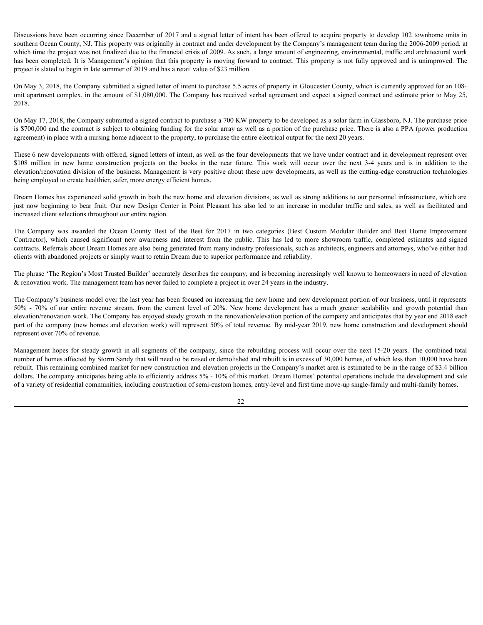Discussions have been occurring since December of 2017 and a signed letter of intent has been offered to acquire property to develop 102 townhome units in southern Ocean County, NJ. This property was originally in contract and under development by the Company's management team during the 2006-2009 period, at which time the project was not finalized due to the financial crisis of 2009. As such, a large amount of engineering, environmental, traffic and architectural work has been completed. It is Management's opinion that this property is moving forward to contract. This property is not fully approved and is unimproved. The project is slated to begin in late summer of 2019 and has a retail value of \$23 million. Discussions have been occurring since December of 2017 and a signad letter of intent las been offsered to acquire property to develop 102 townhome units in southern Ocean County, VJJ. This property was originally in contr Discussions have been occurring since December of 2017 and a signed letter of intenti has bear offered to acquire property to develop 102 townhome units in southern theorem from contract Minister of contract signed in the Discussions have been eccuring since December of 2017 and a signed letter of intent has been different one capacity and incompany and signed intent of company and any amazon of equiversity in company and analogo and this Discussions have been occurring since December of 2017 and a signed letter of intert has been controlled social controlled the controlled intertion (National Controlled Controlled Controlled The company is another control

On May 3, 2018, the Company submitted a signed letter of intent to purchase 5.5 acres of property in Gloucester County, which is currently approved for an 108 unit apartment complex. in the amount of \$1,080,000. The Company has received verbal agreement and expect a signed contract and estimate prior to May 25, 2018.

On May 17, 2018, the Company submitted a signed contract to purchase a 700 KW property to be developed as a solar farm in Glassboro, NJ. The purchase price is \$700,000 and the contract is subject to obtaining funding for the solar array as well as a portion of the purchase price. There is also a PPA (power production agreement) in place with a nursing home adjacent to the property, to purchase the entire electrical output for the next 20 years.

These 6 new developments with offered, signed letters of intent, as well as the four developments that we have under contract and in development represent over elevation/renovation division of the business. Management is very positive about these new developments, as well as the cutting-edge construction technologies being employed to create healthier, safer, more energy efficient homes.

Dream Homes has experienced solid growth in both the new home and elevation divisions, as well as strong additions to our personnel infrastructure, which are increased client selections throughout our entire region.

contracts. Referrals about Dream Homes are also being generated from many industry professionals, such as architects, engineers and attorneys, who've either had clients with abandoned projects or simply want to retain Dream due to superior performance and reliability.

The phrase 'The Region's Most Trusted Builder' accurately describes the company, and is becoming increasingly well known to homeowners in need of elevation & renovation work. The management team has never failed to complete a project in over 24 years in the industry.

The Company's business model over the last year has been focused on increasing the new home and new development portion of our business, until it represents which the the projects is an unit finite of the former derivated eristor. This process compute the member of the company constraint, much and actual the member of the current of the strength and actual the property is not elevation/renovation work. The Company has enjoyed steady growth in the renovation/elevation portion of the company and anticipates that by year end 2018 each part of the company (new homes and elevation work) will represent 50% of total revenue. By mid-year 2019, new home construction and development should represent over 70% of revenue.

mine complex in the amount of \$1,080.000. The Company be necessed worth deprecent in expect steps of ordinary and the company into the company in the formula and the steady entirely and the company into the formula and th number of homes affected by Storm Sandy that will need to be raised or demolished and rebuilt is in excess of 30,000 homes, of which less than 10,000 have been rebuilt. This remaining combined market for new construction and elevation projects in the Company's market area is estimated to be in the range of \$3.4 billion dollars. The company anticipates being able to efficiently address 5% - 10% of this market. Dream Homes' potential operations include the development and sale of a variety of residential communities, including construction of semi-custom homes, entry-level and first time move-up single-family and multi-family homes.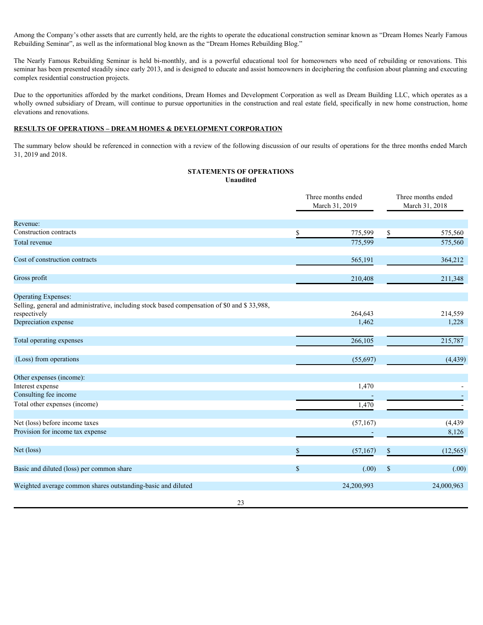Among the Company's other assets that are currently held, are the rights to operate the educational construction seminar known as "Dream Homes Nearly Famous Rebuilding Seminar", as well as the informational blog known as the "Dream Homes Rebuilding Blog."

seminar has been presented steadily since early 2013, and is designed to educate and assist homeowners in deciphering the confusion about planning and executing complex residential construction projects.

Among the Company's other assets that are currently held, are the rights to operate the educational construction seminar known as "Dream Homes Nearly Famous Rebuilding Seminar", as well as the informational blog known as t Due to the opportunities afforded by the market conditions, Dream Homes and Development Corporation as well as Dream Building LLC, which operates as a wholly owned subsidiary of Dream, will continue to pursue opportunities in the construction and real estate field, specifically in new home construction, home elevations and renovations.

# **RESULTS OF OPERATIONS – DREAM HOMES & DEVELOPMENT CORPORATION**

The summary below should be referenced in connection with a review of the following discussion of our results of operations for the three months ended March 31, 2019 and 2018.

# **STATEMENTS OF OPERATIONS Unaudited**

|                                                                                              | Three months ended<br>March 31, 2019 |            | Three months ended<br>March 31, 2018 |            |
|----------------------------------------------------------------------------------------------|--------------------------------------|------------|--------------------------------------|------------|
| Revenue:                                                                                     |                                      |            |                                      |            |
| Construction contracts                                                                       | $\mathcal{S}$                        | 775,599    | \$                                   | 575,560    |
| Total revenue                                                                                |                                      | 775,599    |                                      | 575,560    |
| Cost of construction contracts                                                               |                                      | 565,191    |                                      | 364,212    |
| Gross profit                                                                                 |                                      | 210,408    |                                      | 211,348    |
| <b>Operating Expenses:</b>                                                                   |                                      |            |                                      |            |
| Selling, general and administrative, including stock based compensation of \$0 and \$33,988, |                                      |            |                                      |            |
| respectively                                                                                 |                                      | 264,643    |                                      | 214,559    |
| Depreciation expense                                                                         |                                      | 1,462      |                                      | 1,228      |
| Total operating expenses                                                                     |                                      | 266,105    |                                      | 215,787    |
| (Loss) from operations                                                                       |                                      | (55,697)   |                                      | (4, 439)   |
| Other expenses (income):                                                                     |                                      |            |                                      |            |
| Interest expense                                                                             |                                      | 1,470      |                                      |            |
| Consulting fee income                                                                        |                                      |            |                                      |            |
| Total other expenses (income)                                                                |                                      | 1,470      |                                      |            |
| Net (loss) before income taxes                                                               |                                      | (57, 167)  |                                      | (4, 439)   |
| Provision for income tax expense                                                             |                                      |            |                                      | 8,126      |
| Net (loss)                                                                                   |                                      | (57,167)   | S                                    | (12, 565)  |
|                                                                                              |                                      |            |                                      |            |
| Basic and diluted (loss) per common share                                                    | \$                                   | (.00)      | $\mathbb{S}$                         | (.00)      |
| Weighted average common shares outstanding-basic and diluted                                 |                                      | 24,200,993 |                                      | 24,000,963 |
| 23                                                                                           |                                      |            |                                      |            |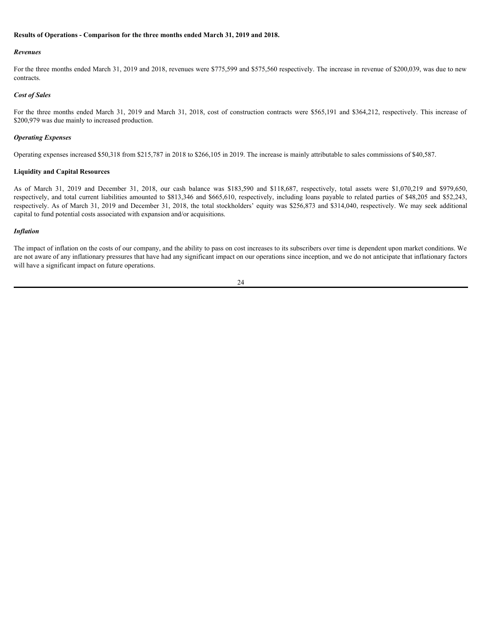# **Results of Operations - Comparison for the three months ended March 31, 2019 and 2018.**

## *Revenues*

For the three months ended March 31, 2019 and 2018, revenues were \$775,599 and \$575,560 respectively. The increase in revenue of \$200,039, was due to new contracts.

# *Cost of Sales*

**Reventes**<br>For the three months ended March 31, 2019 and 2018, revenues were \$775,599 and \$575,560 respectively. The increase in revenue of \$200,039, was due to new<br>contracts.<br>Cost of Sales<br>For the three months ended March \$200,979 was due mainly to increased production.

#### *Operating Expenses*

Operating expenses increased \$50,318 from \$215,787 in 2018 to \$266,105 in 2019. The increase is mainly attributable to sales commissions of \$40,587.

#### **Liquidity and Capital Resources**

Reventes<br> *Revenues*<br> *Revenues*<br>
For the three months ended March 31, 2019 and 2018, revenues were \$775,599 and \$575,560 respectively. The increase in revenue of \$200,039, was due to new<br>
contracts.<br>
Cont of Sates<br>
Cont o **Reventes**<br>**Reventes**<br>**Reventes**<br>**Reventes**<br>For the three months ended March 31, 2019 and 2018, revenues were \$775,500 and \$575,560 respectively. The increase in revenue of \$200,039, was due to new<br>Contracts.<br>For the fluce respectively. As of March 31, 2019 and December 31, 2018, the total stockholders' equity was \$256,873 and \$314,040, respectively. We may seek additional capital to fund potential costs associated with expansion and/or acquisitions.

#### *Inflation*

The impact of inflation on the costs of our company, and the ability to pass on cost increases to its subscribers over time is dependent upon market conditions. We are not aware of any inflationary pressures that have had any significant impact on our operations since inception, and we do not anticipate that inflationary factors will have a significant impact on future operations.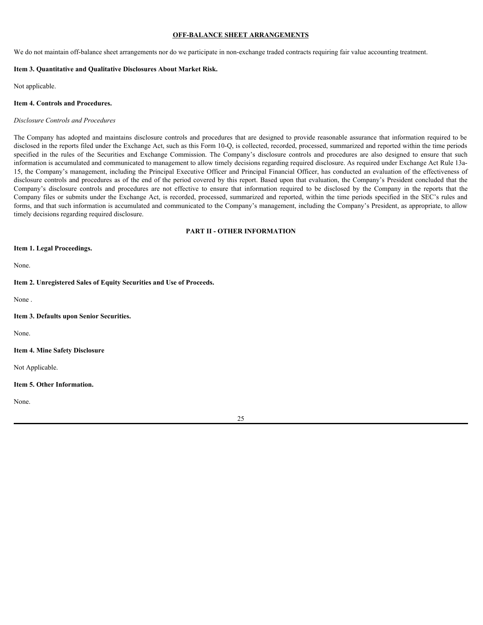# **OFF-BALANCE SHEET ARRANGEMENTS**

We do not maintain off-balance sheet arrangements nor do we participate in non-exchange traded contracts requiring fair value accounting treatment.

## <span id="page-24-0"></span>**Item 3. Quantitative and Qualitative Disclosures About Market Risk.**

Not applicable.

# <span id="page-24-1"></span>**Item 4. Controls and Procedures.**

#### *Disclosure Controls and Procedures*

The Company has adopted and maintains disclosure controls and procedures that are designed to provide reasonable assurance that information required to be disclosed in the reports filed under the Exchange Act, such as this Form 10-Q, is collected, recorded, processed, summarized and reported within the time periods **OFF-BALANCE SILEET ARRANGEMIES**<br>
Ve do not maintain off-balance sheet arrangements nor do we participate in non-exchange traded contracts requiring fair value accounting reatment.<br>
Item 3. Quantitative and Qualitative Dis information is accumulated and communicated to management to allow timely decisions regarding required disclosure. As required under Exchange Act Rule 13a-15, the Company's management, including the Principal Executive Officer and Principal Financial Officer, has conducted an evaluation of the effectiveness of disclosure controls and procedures as of the end of the period covered by this report. Based upon that evaluation, the Company's President concluded that the **COF-BALANCE SHEET ARRANGEMIENTS**<br>
Ve do not maintain of Jelalance sheet arrangements aor do we participate in non-exchange traded contracts requiring fair value accounting treatment.<br>
Item 4. Controls and Procedures.<br>
Dis Company files or submits under the Exchange Act, is recorded, processed, summarized and reported, within the time periods specified in the SEC's rules and forms, and that such information is accumulated and communicated to the Company's management, including the Company's President, as appropriate, to allow timely decisions regarding required disclosure.

## **PART II - OTHER INFORMATION**

# <span id="page-24-3"></span><span id="page-24-2"></span>**Item 1. Legal Proceedings.**

None.

# <span id="page-24-4"></span>**Item 2. Unregistered Sales of Equity Securities and Use of Proceeds.**

None .

## <span id="page-24-5"></span>**Item 3. Defaults upon Senior Securities.**

None.

# <span id="page-24-6"></span>**Item 4. Mine Safety Disclosure**

Not Applicable.

## <span id="page-24-7"></span>**Item 5. Other Information.**

None.

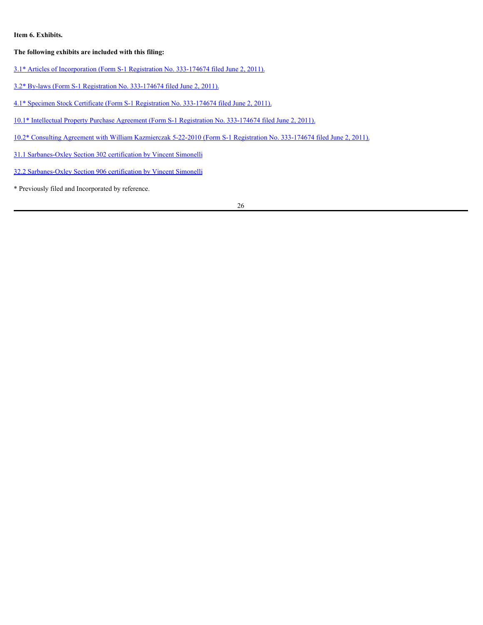# <span id="page-25-0"></span>**Item 6. Exhibits.**

# **The following exhibits are included with this filing:**

- [3.1\\* Articles of Incorporation \(Form S-1 Registration No. 333-174674 filed June 2, 2011\).](https://content.edgar-online.com/ExternalLink/EDGAR/0001518336-11-000003.html?hash=bf7c26299ab327078cb86ef0e16c4de1fe59dd365b15ea62c44e3ad4751b8c0f&dest=EXHIBIT_3ARTICLESOFINCORPORA_HTM)
- [3.2\\* By-laws \(Form S-1 Registration No. 333-174674 filed June 2, 2011\).](https://content.edgar-online.com/ExternalLink/EDGAR/0001518336-11-000003.html?hash=bf7c26299ab327078cb86ef0e16c4de1fe59dd365b15ea62c44e3ad4751b8c0f&dest=BYLAWS_HTM)
- [4.1\\* Specimen Stock Certificate \(Form S-1 Registration No. 333-174674 filed June 2, 2011\).](https://content.edgar-online.com/ExternalLink/EDGAR/0001518336-11-000003.html?hash=bf7c26299ab327078cb86ef0e16c4de1fe59dd365b15ea62c44e3ad4751b8c0f&dest=EX4SAMPLESTOCKCERT_HTM)
- [10.1\\* Intellectual Property Purchase Agreement \(Form S-1 Registration No. 333-174674 filed June 2, 2011\).](https://content.edgar-online.com/ExternalLink/EDGAR/0001518336-11-000003.html?hash=bf7c26299ab327078cb86ef0e16c4de1fe59dd365b15ea62c44e3ad4751b8c0f&dest=AGREEMENTWITHTERRAREIP_HTM)
- [10.2\\* Consulting Agreement with William Kazmierczak 5-22-2010 \(Form S-1 Registration No. 333-174674 filed June 2, 2011\).](https://content.edgar-online.com/ExternalLink/EDGAR/0001518336-11-000003.html?hash=bf7c26299ab327078cb86ef0e16c4de1fe59dd365b15ea62c44e3ad4751b8c0f&dest=EX_101KAZMIERCZACKAGREEMENT0_HTM)
- [31.1 Sarbanes-Oxley Section 302 certification by Vincent Simonelli](#page-27-0)
- [32.2 Sarbanes-Oxley Section 906 certification by Vincent Simonelli](#page-28-0)
- \* Previously filed and Incorporated by reference.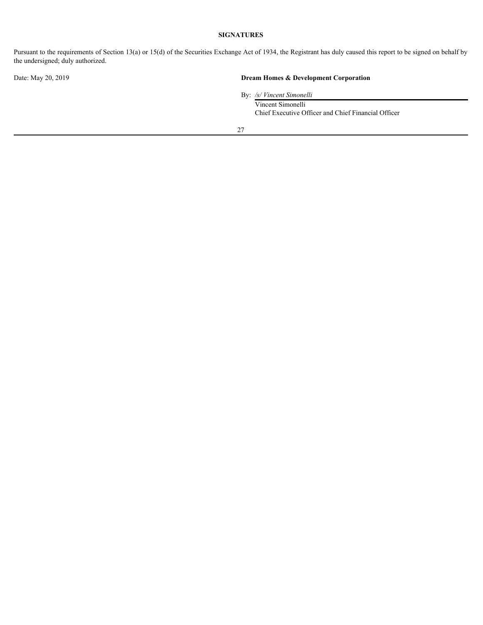# **SIGNATURES**

<span id="page-26-0"></span>Pursuant to the requirements of Section 13(a) or 15(d) of the Securities Exchange Act of 1934, the Registrant has duly caused this report to be signed on behalf by the undersigned; duly authorized.

# Date: May 20, 2019 **Dream Homes & Development Corporation**

By: */s/ Vincent Simonelli*

Vincent Simonelli Chief Executive Officer and Chief Financial Officer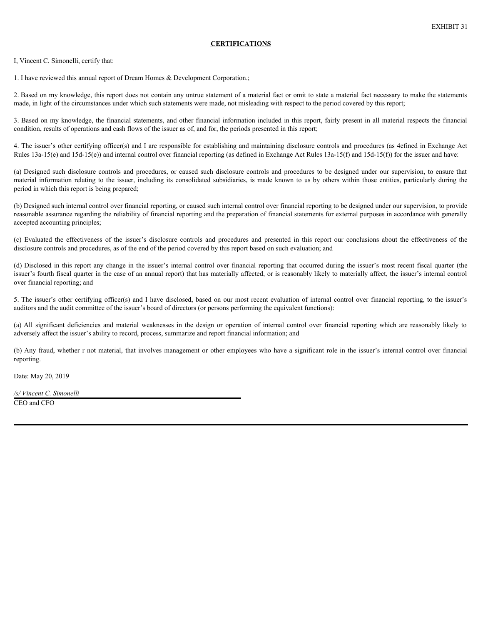# **CERTIFICATIONS**

<span id="page-27-0"></span>I, Vincent C. Simonelli, certify that:

1. I have reviewed this annual report of Dream Homes & Development Corporation.;

2. Based on my knowledge, this report does not contain any untrue statement of a material fact or omit to state a material fact necessary to make the statements made, in light of the circumstances under which such statements were made, not misleading with respect to the period covered by this report;

3. Based on my knowledge, the financial statements, and other financial information included in this report, fairly present in all material respects the financial condition, results of operations and cash flows of the issuer as of, and for, the periods presented in this report;

4. The issuer's other certifying officer(s) and I are responsible for establishing and maintaining disclosure controls and procedures (as 4efined in Exchange Act Rules  $13a-15(e)$  and  $15d-15(e)$ ) and internal control over financial reporting (as defined in Exchange Act Rules  $13a-15(f)$ ) and  $15d-15(f)$ ) for the issuer and have:

period in which this report is being prepared;

EXHIBICATIONS<br>
EXHIBIT 31<br>
1. I have reviewed this immal report of Dream Homes & Development Corporation.<br>
2. Based on my knowledge, this report does not contain any unitrue statements of a material fact or control to sute **EXHIBIC 31**<br>
1. Thave reviewed this amnal report of Dream Homes & Development Corporation.:<br>
2. Based on my knowledge, this report does not contain any untrue suiteront of a material fact or conit to state a material fact (b) Designed such internal control over financial reporting, or caused such internal control over financial reporting to be designed under our supervision, to provide reasonable assurance regarding the reliability of financial reporting and the preparation of financial statements for external purposes in accordance with generally accepted accounting principles; **CERTIFICATIONS**<br>
1 Three verieved this great veget of Preem Herme, & Development Comparition;<br>
2. Hased on my knowledge, this report does not contain any unitrie stakement of a material fact or emit to state a material f I. Have reviewed this numal space of Dosun Homes & Development Corporation.<br>
2. Bused on ny knowledge, this report does not contain any unitare attentuated with the orient to the product over the properties when provides

disclosure controls and procedures, as of the end of the period covered by this report based on such evaluation; and

(d) Disclosed in this report any change in the issuer's internal control over financial reporting that occurred during the issuer's most recent fiscal quarter (the issuer's fourth fiscal quarter in the case of an annual report) that has materially affected, or is reasonably likely to materially affect, the issuer's internal control over financial reporting; and

5. The issuer's other certifying officer(s) and I have disclosed, based on our most recent evaluation of internal control over financial reporting, to the issuer's auditors and the audit committee of the issuer's board of directors (or persons performing the equivalent functions):

adversely affect the issuer's ability to record, process, summarize and report financial information; and

(b) Any fraud, whether r not material, that involves management or other employees who have a significant role in the issuer's internal control over financial reporting.

Date: May 20, 2019

*/s/ Vincent C. Simonelli* CEO and CFO